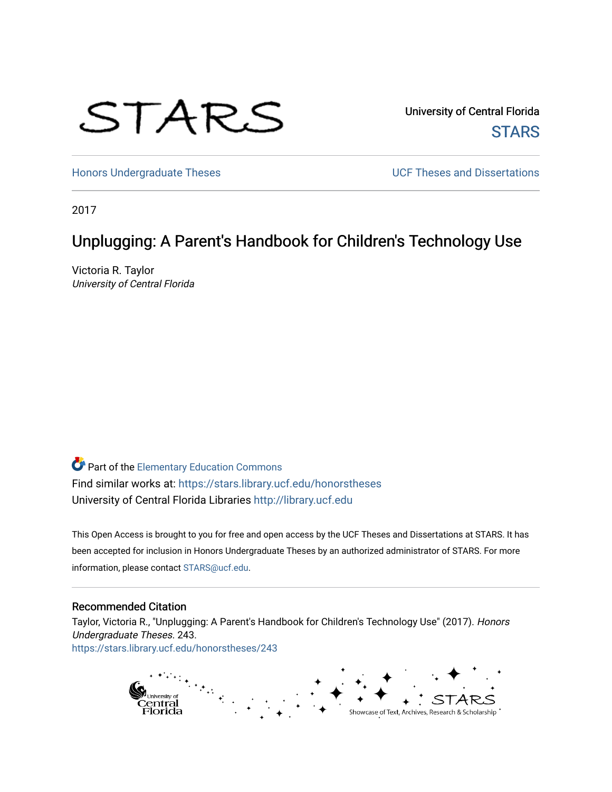

University of Central Florida **STARS** 

[Honors Undergraduate Theses](https://stars.library.ucf.edu/honorstheses) **Exercise 2 and Serverse** UCF Theses and Dissertations

2017

# Unplugging: A Parent's Handbook for Children's Technology Use

Victoria R. Taylor University of Central Florida

Part of the [Elementary Education Commons](http://network.bepress.com/hgg/discipline/1378?utm_source=stars.library.ucf.edu%2Fhonorstheses%2F243&utm_medium=PDF&utm_campaign=PDFCoverPages)  Find similar works at: <https://stars.library.ucf.edu/honorstheses> University of Central Florida Libraries [http://library.ucf.edu](http://library.ucf.edu/) 

This Open Access is brought to you for free and open access by the UCF Theses and Dissertations at STARS. It has been accepted for inclusion in Honors Undergraduate Theses by an authorized administrator of STARS. For more information, please contact [STARS@ucf.edu.](mailto:STARS@ucf.edu)

#### Recommended Citation

Taylor, Victoria R., "Unplugging: A Parent's Handbook for Children's Technology Use" (2017). Honors Undergraduate Theses. 243. [https://stars.library.ucf.edu/honorstheses/243](https://stars.library.ucf.edu/honorstheses/243?utm_source=stars.library.ucf.edu%2Fhonorstheses%2F243&utm_medium=PDF&utm_campaign=PDFCoverPages) 

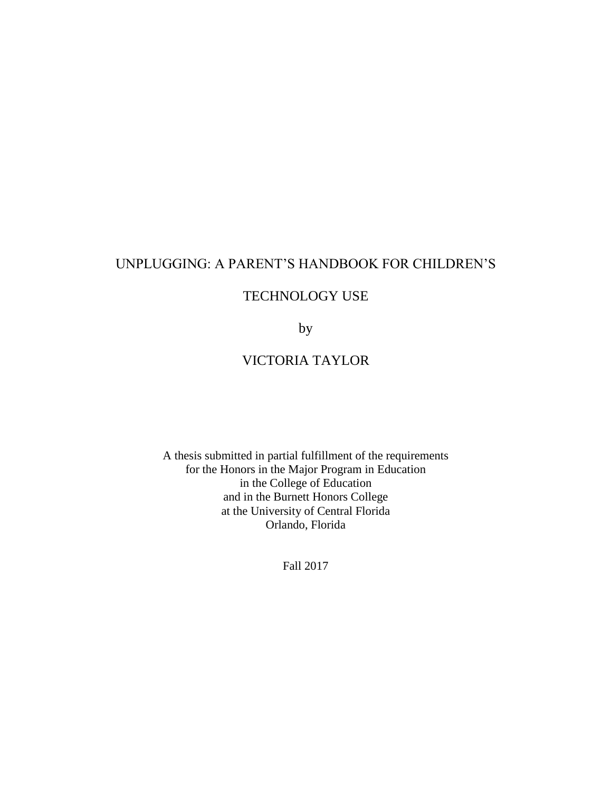# UNPLUGGING: A PARENT'S HANDBOOK FOR CHILDREN'S

## TECHNOLOGY USE

by

# VICTORIA TAYLOR

A thesis submitted in partial fulfillment of the requirements for the Honors in the Major Program in Education in the College of Education and in the Burnett Honors College at the University of Central Florida Orlando, Florida

Fall 2017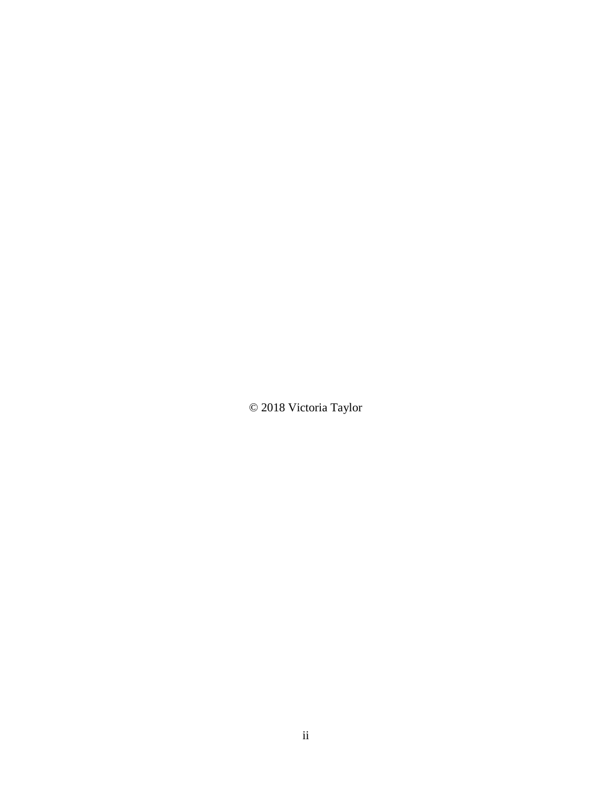© 2018 Victoria Taylor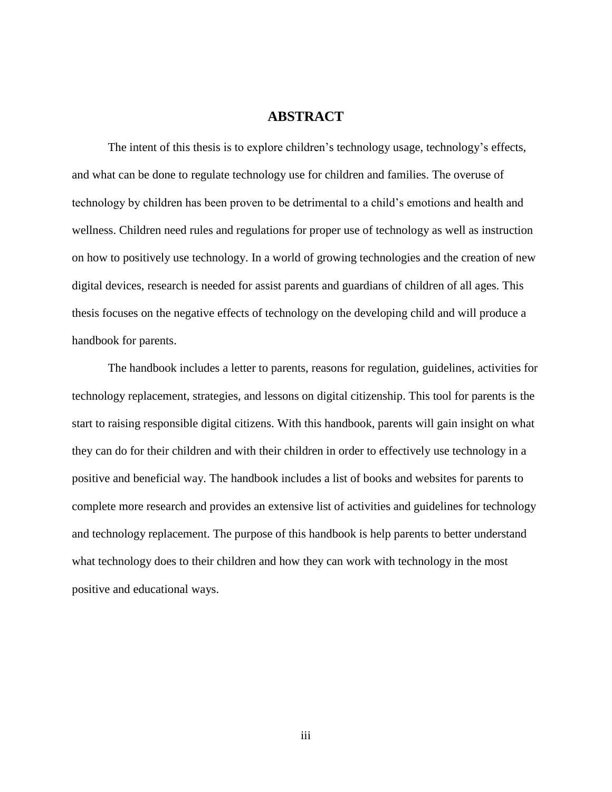## **ABSTRACT**

The intent of this thesis is to explore children's technology usage, technology's effects, and what can be done to regulate technology use for children and families. The overuse of technology by children has been proven to be detrimental to a child's emotions and health and wellness. Children need rules and regulations for proper use of technology as well as instruction on how to positively use technology. In a world of growing technologies and the creation of new digital devices, research is needed for assist parents and guardians of children of all ages. This thesis focuses on the negative effects of technology on the developing child and will produce a handbook for parents.

The handbook includes a letter to parents, reasons for regulation, guidelines, activities for technology replacement, strategies, and lessons on digital citizenship. This tool for parents is the start to raising responsible digital citizens. With this handbook, parents will gain insight on what they can do for their children and with their children in order to effectively use technology in a positive and beneficial way. The handbook includes a list of books and websites for parents to complete more research and provides an extensive list of activities and guidelines for technology and technology replacement. The purpose of this handbook is help parents to better understand what technology does to their children and how they can work with technology in the most positive and educational ways.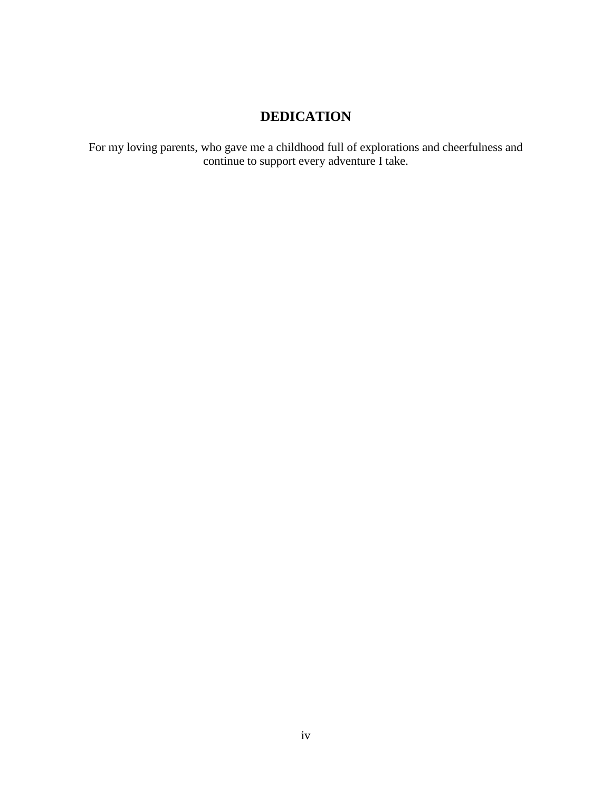# **DEDICATION**

For my loving parents, who gave me a childhood full of explorations and cheerfulness and continue to support every adventure I take.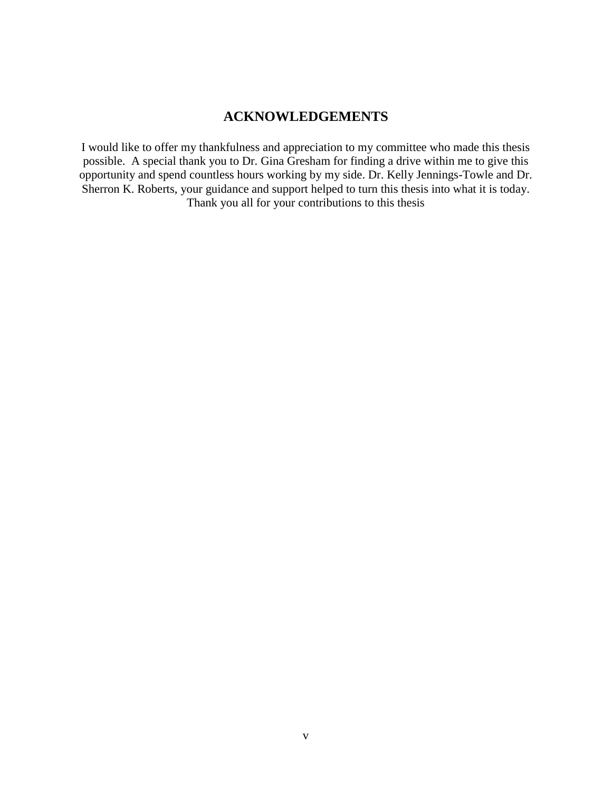## **ACKNOWLEDGEMENTS**

I would like to offer my thankfulness and appreciation to my committee who made this thesis possible. A special thank you to Dr. Gina Gresham for finding a drive within me to give this opportunity and spend countless hours working by my side. Dr. Kelly Jennings-Towle and Dr. Sherron K. Roberts, your guidance and support helped to turn this thesis into what it is today. Thank you all for your contributions to this thesis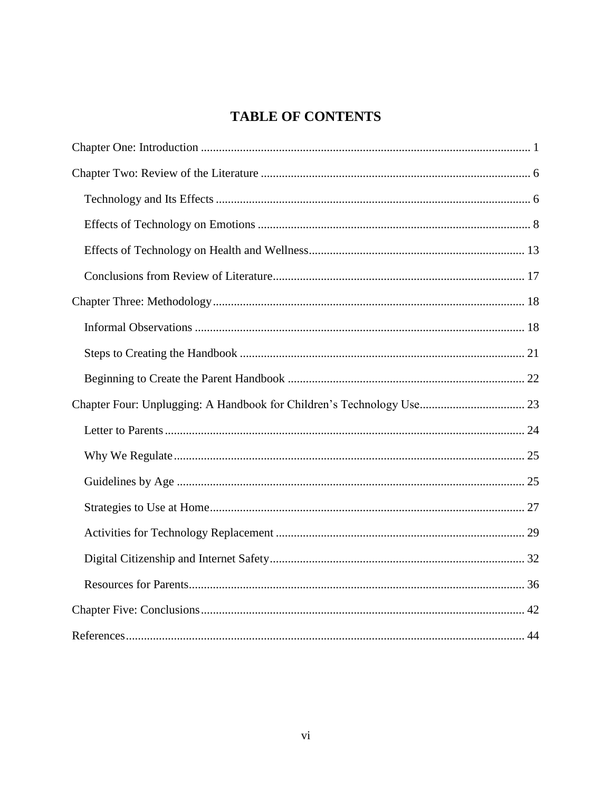# **TABLE OF CONTENTS**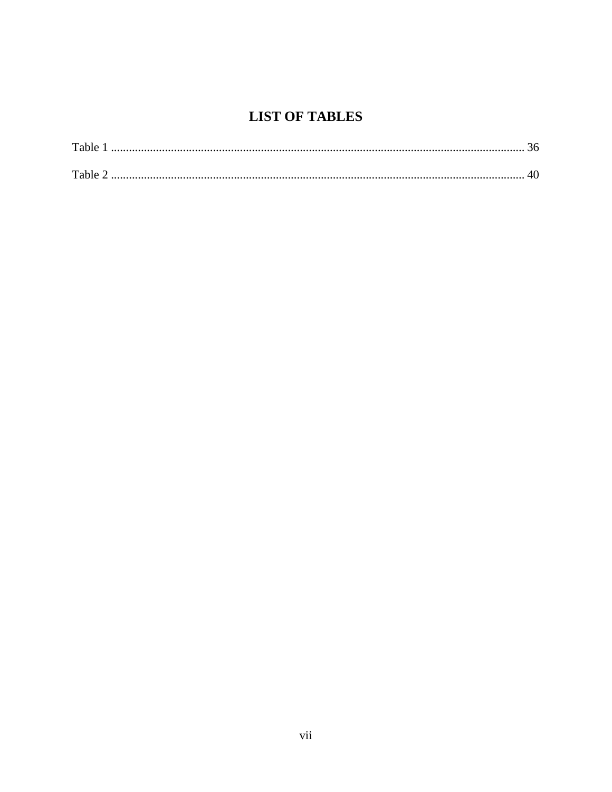# **LIST OF TABLES**

| Table          |  |
|----------------|--|
| Table $\angle$ |  |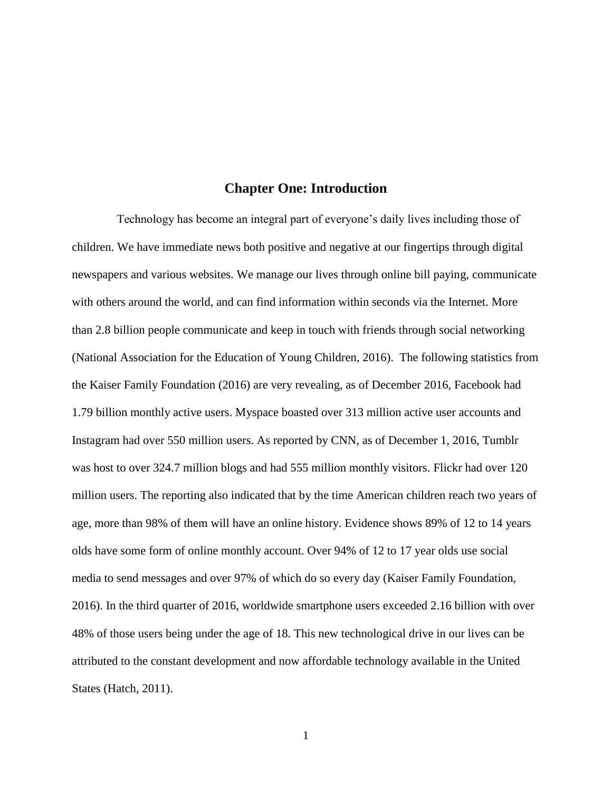## **Chapter One: Introduction**

<span id="page-8-0"></span> Technology has become an integral part of everyone's daily lives including those of children. We have immediate news both positive and negative at our fingertips through digital newspapers and various websites. We manage our lives through online bill paying, communicate with others around the world, and can find information within seconds via the Internet. More than 2.8 billion people communicate and keep in touch with friends through social networking (National Association for the Education of Young Children, 2016). The following statistics from the Kaiser Family Foundation (2016) are very revealing, as of December 2016, Facebook had 1.79 billion monthly active users. Myspace boasted over 313 million active user accounts and Instagram had over 550 million users. As reported by CNN, as of December 1, 2016, Tumblr was host to over 324.7 million blogs and had 555 million monthly visitors. Flickr had over 120 million users. The reporting also indicated that by the time American children reach two years of age, more than 98% of them will have an online history. Evidence shows 89% of 12 to 14 years olds have some form of online monthly account. Over 94% of 12 to 17 year olds use social media to send messages and over 97% of which do so every day (Kaiser Family Foundation, 2016). In the third quarter of 2016, worldwide smartphone users exceeded 2.16 billion with over 48% of those users being under the age of 18. This new technological drive in our lives can be attributed to the constant development and now affordable technology available in the United States (Hatch, 2011).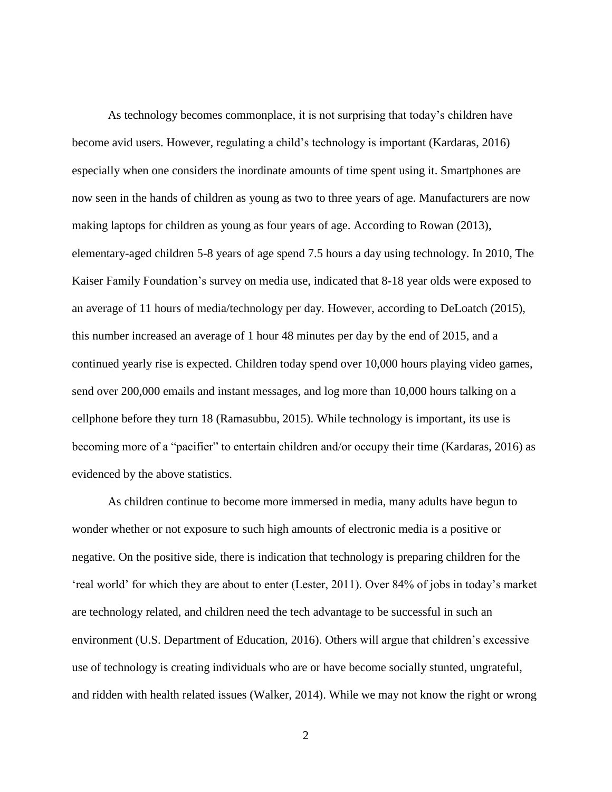As technology becomes commonplace, it is not surprising that today's children have become avid users. However, regulating a child's technology is important (Kardaras, 2016) especially when one considers the inordinate amounts of time spent using it. Smartphones are now seen in the hands of children as young as two to three years of age. Manufacturers are now making laptops for children as young as four years of age. According to Rowan (2013), elementary-aged children 5-8 years of age spend 7.5 hours a day using technology. In 2010, The Kaiser Family Foundation's survey on media use, indicated that 8-18 year olds were exposed to an average of 11 hours of media/technology per day. However, according to DeLoatch (2015), this number increased an average of 1 hour 48 minutes per day by the end of 2015, and a continued yearly rise is expected. Children today spend over 10,000 hours playing video games, send over 200,000 emails and instant messages, and log more than 10,000 hours talking on a cellphone before they turn 18 (Ramasubbu, 2015). While technology is important, its use is becoming more of a "pacifier" to entertain children and/or occupy their time (Kardaras, 2016) as evidenced by the above statistics.

As children continue to become more immersed in media, many adults have begun to wonder whether or not exposure to such high amounts of electronic media is a positive or negative. On the positive side, there is indication that technology is preparing children for the 'real world' for which they are about to enter (Lester, 2011). Over 84% of jobs in today's market are technology related, and children need the tech advantage to be successful in such an environment (U.S. Department of Education, 2016). Others will argue that children's excessive use of technology is creating individuals who are or have become socially stunted, ungrateful, and ridden with health related issues (Walker, 2014). While we may not know the right or wrong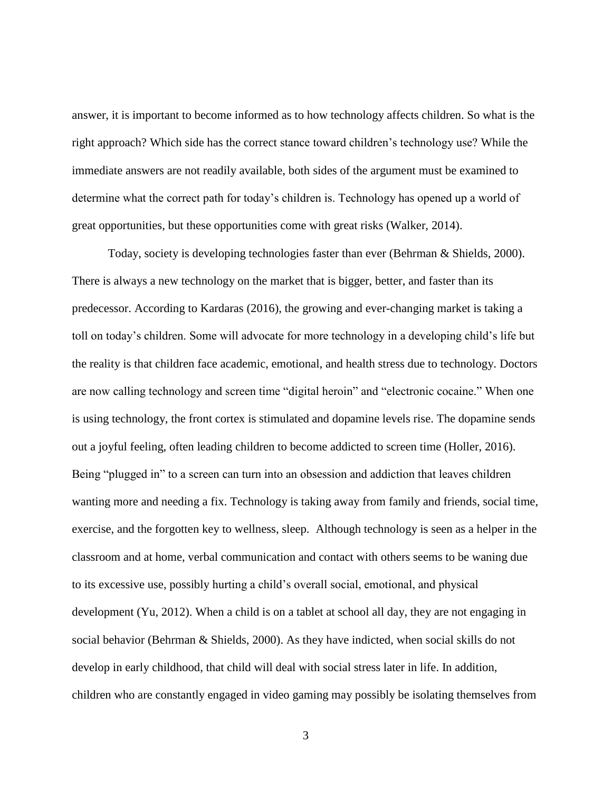answer, it is important to become informed as to how technology affects children. So what is the right approach? Which side has the correct stance toward children's technology use? While the immediate answers are not readily available, both sides of the argument must be examined to determine what the correct path for today's children is. Technology has opened up a world of great opportunities, but these opportunities come with great risks (Walker, 2014).

Today, society is developing technologies faster than ever (Behrman & Shields, 2000). There is always a new technology on the market that is bigger, better, and faster than its predecessor. According to Kardaras (2016), the growing and ever-changing market is taking a toll on today's children. Some will advocate for more technology in a developing child's life but the reality is that children face academic, emotional, and health stress due to technology. Doctors are now calling technology and screen time "digital heroin" and "electronic cocaine." When one is using technology, the front cortex is stimulated and dopamine levels rise. The dopamine sends out a joyful feeling, often leading children to become addicted to screen time (Holler, 2016). Being "plugged in" to a screen can turn into an obsession and addiction that leaves children wanting more and needing a fix. Technology is taking away from family and friends, social time, exercise, and the forgotten key to wellness, sleep. Although technology is seen as a helper in the classroom and at home, verbal communication and contact with others seems to be waning due to its excessive use, possibly hurting a child's overall social, emotional, and physical development (Yu, 2012). When a child is on a tablet at school all day, they are not engaging in social behavior (Behrman & Shields, 2000). As they have indicted, when social skills do not develop in early childhood, that child will deal with social stress later in life. In addition, children who are constantly engaged in video gaming may possibly be isolating themselves from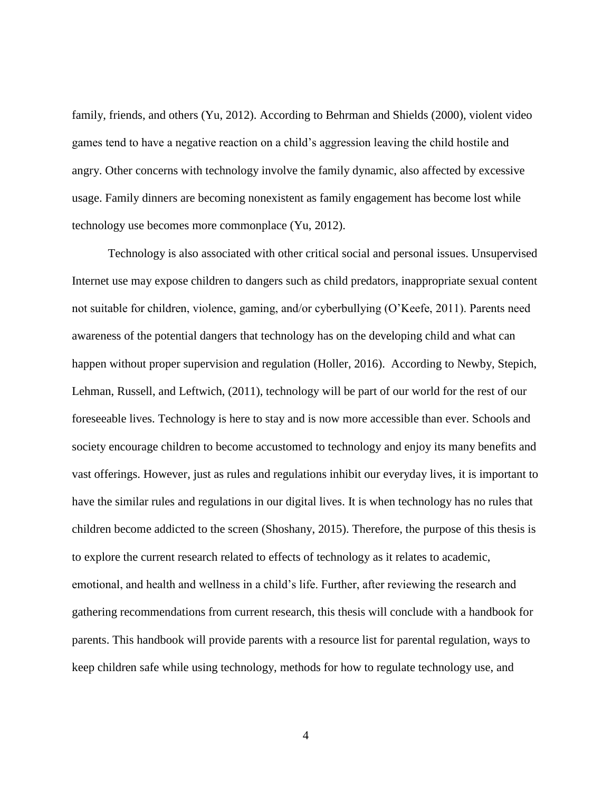family, friends, and others (Yu, 2012). According to Behrman and Shields (2000), violent video games tend to have a negative reaction on a child's aggression leaving the child hostile and angry. Other concerns with technology involve the family dynamic, also affected by excessive usage. Family dinners are becoming nonexistent as family engagement has become lost while technology use becomes more commonplace (Yu, 2012).

Technology is also associated with other critical social and personal issues. Unsupervised Internet use may expose children to dangers such as child predators, inappropriate sexual content not suitable for children, violence, gaming, and/or cyberbullying (O'Keefe, 2011). Parents need awareness of the potential dangers that technology has on the developing child and what can happen without proper supervision and regulation (Holler, 2016). According to Newby, Stepich, Lehman, Russell, and Leftwich, (2011), technology will be part of our world for the rest of our foreseeable lives. Technology is here to stay and is now more accessible than ever. Schools and society encourage children to become accustomed to technology and enjoy its many benefits and vast offerings. However, just as rules and regulations inhibit our everyday lives, it is important to have the similar rules and regulations in our digital lives. It is when technology has no rules that children become addicted to the screen (Shoshany, 2015). Therefore, the purpose of this thesis is to explore the current research related to effects of technology as it relates to academic, emotional, and health and wellness in a child's life. Further, after reviewing the research and gathering recommendations from current research, this thesis will conclude with a handbook for parents. This handbook will provide parents with a resource list for parental regulation, ways to keep children safe while using technology, methods for how to regulate technology use, and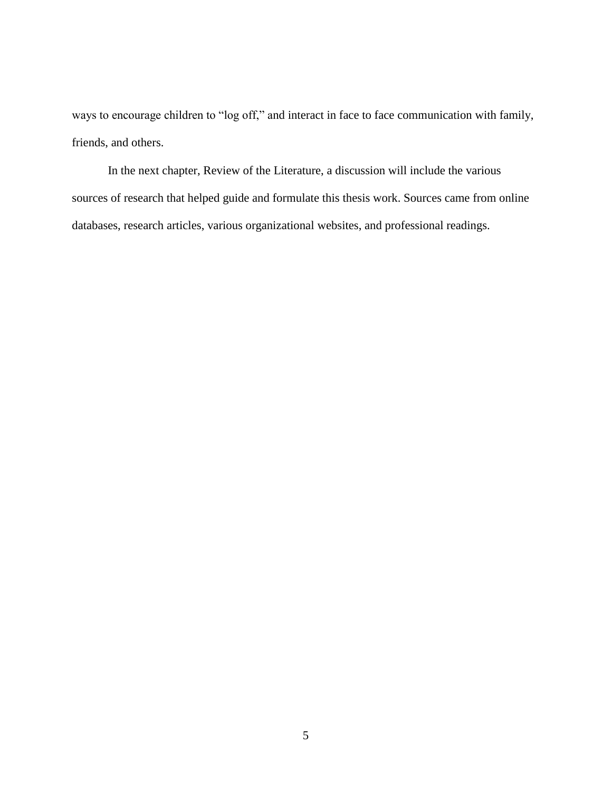ways to encourage children to "log off," and interact in face to face communication with family, friends, and others.

In the next chapter, Review of the Literature, a discussion will include the various sources of research that helped guide and formulate this thesis work. Sources came from online databases, research articles, various organizational websites, and professional readings.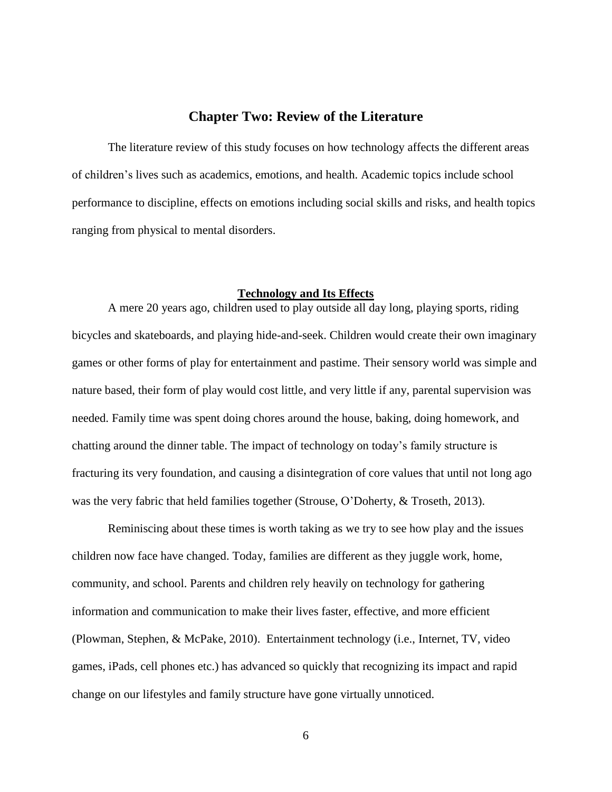## **Chapter Two: Review of the Literature**

<span id="page-13-0"></span>The literature review of this study focuses on how technology affects the different areas of children's lives such as academics, emotions, and health. Academic topics include school performance to discipline, effects on emotions including social skills and risks, and health topics ranging from physical to mental disorders.

#### **Technology and Its Effects**

<span id="page-13-1"></span>A mere 20 years ago, children used to play outside all day long, playing sports, riding bicycles and skateboards, and playing hide-and-seek. Children would create their own imaginary games or other forms of play for entertainment and pastime. Their sensory world was simple and nature based, their form of play would cost little, and very little if any, parental supervision was needed. Family time was spent doing chores around the house, baking, doing homework, and chatting around the dinner table. The impact of technology on today's family structure is fracturing its very foundation, and causing a disintegration of core values that until not long ago was the very fabric that held families together (Strouse, O'Doherty, & Troseth, 2013).

Reminiscing about these times is worth taking as we try to see how play and the issues children now face have changed. Today, families are different as they juggle work, home, community, and school. Parents and children rely heavily on technology for gathering information and communication to make their lives faster, effective, and more efficient (Plowman, Stephen, & McPake, 2010). Entertainment technology (i.e., Internet, TV, video games, iPads, cell phones etc.) has advanced so quickly that recognizing its impact and rapid change on our lifestyles and family structure have gone virtually unnoticed.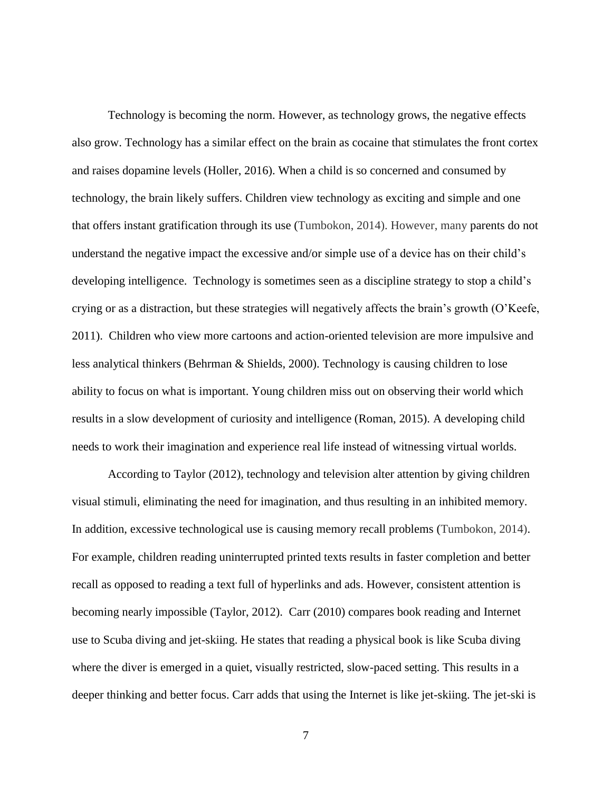Technology is becoming the norm. However, as technology grows, the negative effects also grow. Technology has a similar effect on the brain as cocaine that stimulates the front cortex and raises dopamine levels (Holler, 2016). When a child is so concerned and consumed by technology, the brain likely suffers. Children view technology as exciting and simple and one that offers instant gratification through its use (Tumbokon, 2014). However, many parents do not understand the negative impact the excessive and/or simple use of a device has on their child's developing intelligence. Technology is sometimes seen as a discipline strategy to stop a child's crying or as a distraction, but these strategies will negatively affects the brain's growth (O'Keefe, 2011). Children who view more cartoons and action-oriented television are more impulsive and less analytical thinkers (Behrman & Shields, 2000). Technology is causing children to lose ability to focus on what is important. Young children miss out on observing their world which results in a slow development of curiosity and intelligence (Roman, 2015). A developing child needs to work their imagination and experience real life instead of witnessing virtual worlds.

According to Taylor (2012), technology and television alter attention by giving children visual stimuli, eliminating the need for imagination, and thus resulting in an inhibited memory. In addition, excessive technological use is causing memory recall problems (Tumbokon, 2014). For example, children reading uninterrupted printed texts results in faster completion and better recall as opposed to reading a text full of hyperlinks and ads. However, consistent attention is becoming nearly impossible (Taylor, 2012). Carr (2010) compares book reading and Internet use to Scuba diving and jet-skiing. He states that reading a physical book is like Scuba diving where the diver is emerged in a quiet, visually restricted, slow-paced setting. This results in a deeper thinking and better focus. Carr adds that using the Internet is like jet-skiing. The jet-ski is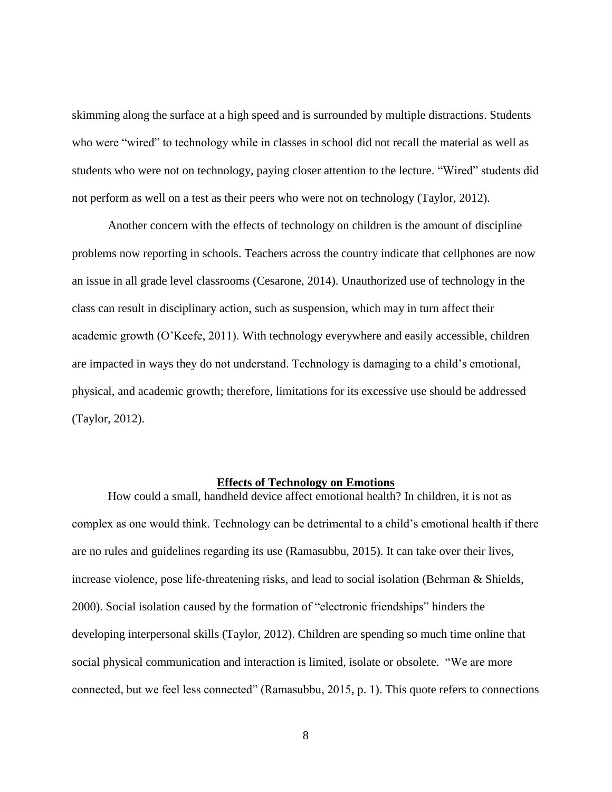skimming along the surface at a high speed and is surrounded by multiple distractions. Students who were "wired" to technology while in classes in school did not recall the material as well as students who were not on technology, paying closer attention to the lecture. "Wired" students did not perform as well on a test as their peers who were not on technology (Taylor, 2012).

Another concern with the effects of technology on children is the amount of discipline problems now reporting in schools. Teachers across the country indicate that cellphones are now an issue in all grade level classrooms (Cesarone, 2014). Unauthorized use of technology in the class can result in disciplinary action, such as suspension, which may in turn affect their academic growth (O'Keefe, 2011). With technology everywhere and easily accessible, children are impacted in ways they do not understand. Technology is damaging to a child's emotional, physical, and academic growth; therefore, limitations for its excessive use should be addressed (Taylor, 2012).

## **Effects of Technology on Emotions**

<span id="page-15-0"></span>How could a small, handheld device affect emotional health? In children, it is not as complex as one would think. Technology can be detrimental to a child's emotional health if there are no rules and guidelines regarding its use (Ramasubbu, 2015). It can take over their lives, increase violence, pose life-threatening risks, and lead to social isolation (Behrman & Shields, 2000). Social isolation caused by the formation of "electronic friendships" hinders the developing interpersonal skills (Taylor, 2012). Children are spending so much time online that social physical communication and interaction is limited, isolate or obsolete. "We are more connected, but we feel less connected" (Ramasubbu, 2015, p. 1). This quote refers to connections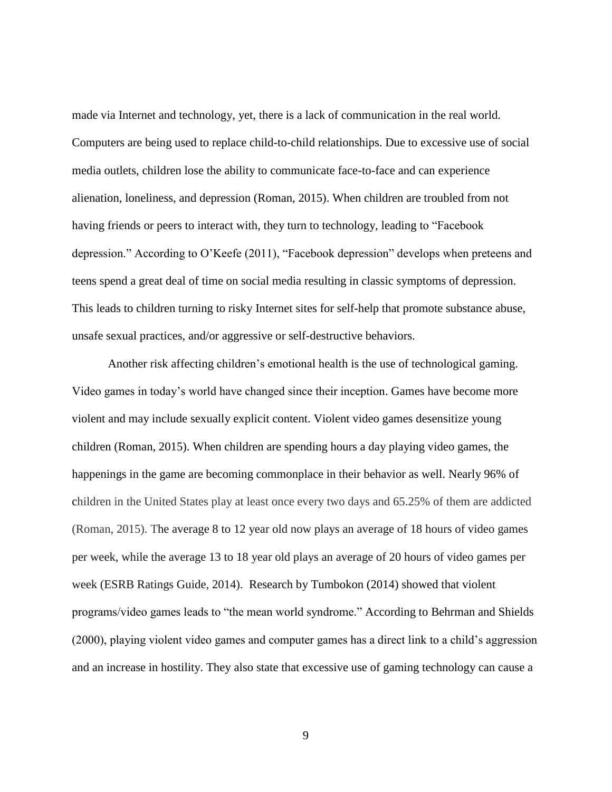made via Internet and technology, yet, there is a lack of communication in the real world. Computers are being used to replace child-to-child relationships. Due to excessive use of social media outlets, children lose the ability to communicate face-to-face and can experience alienation, loneliness, and depression (Roman, 2015). When children are troubled from not having friends or peers to interact with, they turn to technology, leading to "Facebook depression." According to O'Keefe (2011), "Facebook depression" develops when preteens and teens spend a great deal of time on social media resulting in classic symptoms of depression. This leads to children turning to risky Internet sites for self-help that promote substance abuse, unsafe sexual practices, and/or aggressive or self-destructive behaviors.

Another risk affecting children's emotional health is the use of technological gaming. Video games in today's world have changed since their inception. Games have become more violent and may include sexually explicit content. Violent video games desensitize young children (Roman, 2015). When children are spending hours a day playing video games, the happenings in the game are becoming commonplace in their behavior as well. Nearly 96% of children in the United States play at least once every two days and 65.25% of them are addicted (Roman, 2015). The average 8 to 12 year old now plays an average of 18 hours of video games per week, while the average 13 to 18 year old plays an average of 20 hours of video games per week (ESRB Ratings Guide, 2014). Research by Tumbokon (2014) showed that violent programs/video games leads to "the mean world syndrome." According to Behrman and Shields (2000), playing violent video games and computer games has a direct link to a child's aggression and an increase in hostility. They also state that excessive use of gaming technology can cause a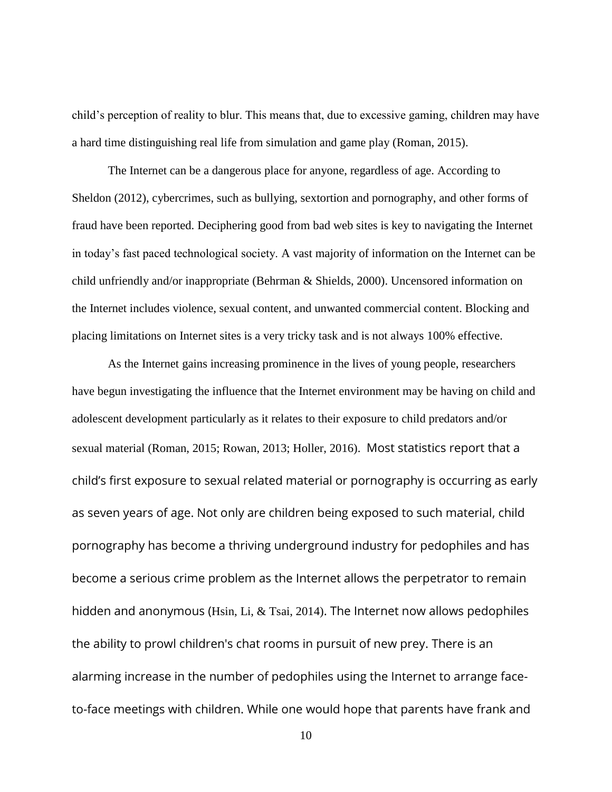child's perception of reality to blur. This means that, due to excessive gaming, children may have a hard time distinguishing real life from simulation and game play (Roman, 2015).

The Internet can be a dangerous place for anyone, regardless of age. According to Sheldon (2012), cybercrimes, such as bullying, sextortion and pornography, and other forms of fraud have been reported. Deciphering good from bad web sites is key to navigating the Internet in today's fast paced technological society. A vast majority of information on the Internet can be child unfriendly and/or inappropriate (Behrman & Shields, 2000). Uncensored information on the Internet includes violence, sexual content, and unwanted commercial content. Blocking and placing limitations on Internet sites is a very tricky task and is not always 100% effective.

As the Internet gains increasing prominence in the lives of young people, researchers have begun investigating the influence that the Internet environment may be having on child and adolescent development particularly as it relates to their exposure to child predators and/or sexual material (Roman, 2015; Rowan, 2013; Holler, 2016). Most statistics report that a child's first exposure to sexual related material or pornography is occurring as early as seven years of age. Not only are children being exposed to such material, child pornography has become a thriving underground industry for pedophiles and has become a serious crime problem as the Internet allows the perpetrator to remain hidden and anonymous (Hsin, Li, & Tsai, 2014). The Internet now allows pedophiles the ability to prowl children's chat rooms in pursuit of new prey. There is an alarming increase in the number of pedophiles using the Internet to arrange faceto-face meetings with children. While one would hope that parents have frank and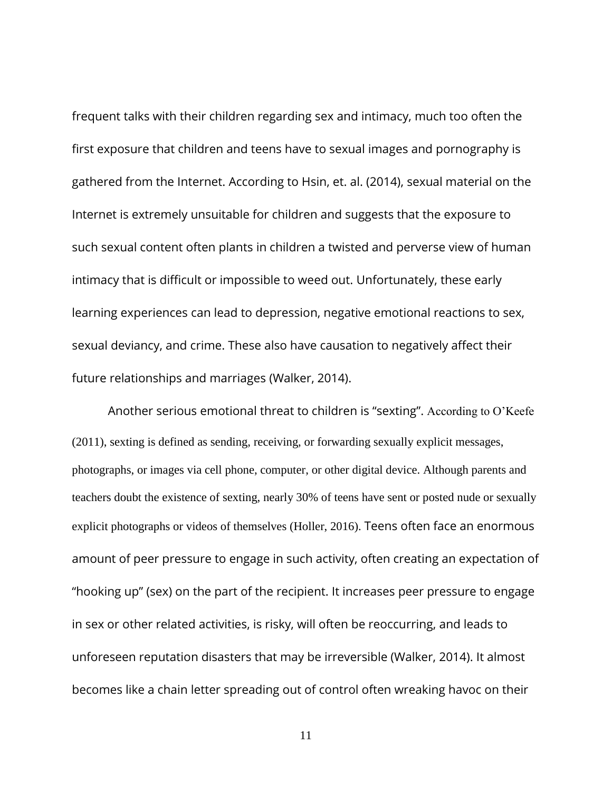frequent talks with their children regarding sex and intimacy, much too often the first exposure that children and teens have to sexual images and pornography is gathered from the Internet. According to Hsin, et. al. (2014), sexual material on the Internet is extremely unsuitable for children and suggests that the exposure to such sexual content often plants in children a twisted and perverse view of human intimacy that is difficult or impossible to weed out. Unfortunately, these early learning experiences can lead to depression, negative emotional reactions to sex, sexual deviancy, and crime. These also have causation to negatively affect their future relationships and marriages (Walker, 2014).

Another serious emotional threat to children is "sexting". According to O'Keefe (2011), sexting is defined as sending, receiving, or forwarding sexually explicit messages, photographs, or images via cell phone, computer, or other digital device. Although parents and teachers doubt the existence of sexting, nearly 30% of teens have sent or posted nude or sexually explicit photographs or videos of themselves (Holler, 2016). Teens often face an enormous amount of peer pressure to engage in such activity, often creating an expectation of "hooking up" (sex) on the part of the recipient. It increases peer pressure to engage in sex or other related activities, is risky, will often be reoccurring, and leads to unforeseen reputation disasters that may be irreversible (Walker, 2014). It almost becomes like a chain letter spreading out of control often wreaking havoc on their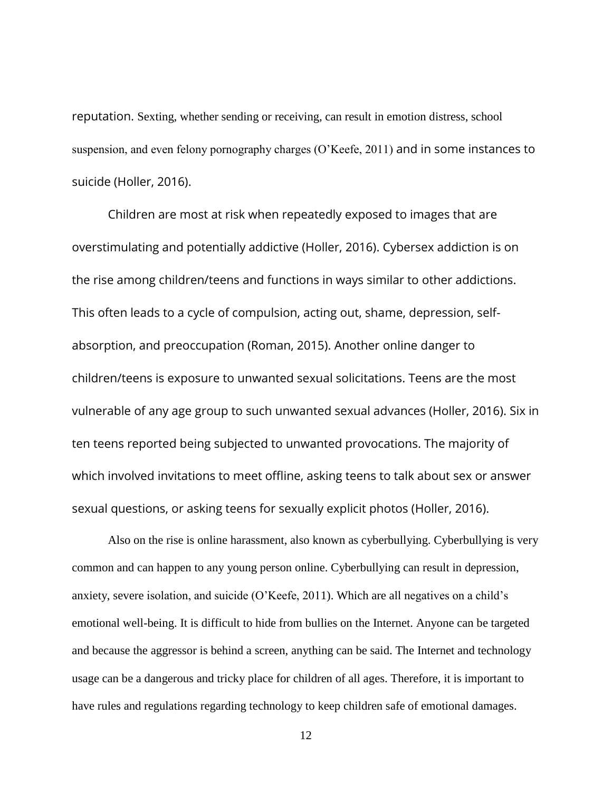reputation. Sexting, whether sending or receiving, can result in emotion distress, school suspension, and even felony pornography charges (O'Keefe, 2011) and in some instances to suicide (Holler, 2016).

Children are most at risk when repeatedly exposed to images that are overstimulating and potentially addictive (Holler, 2016). Cybersex addiction is on the rise among children/teens and functions in ways similar to other addictions. This often leads to a cycle of compulsion, acting out, shame, depression, selfabsorption, and preoccupation (Roman, 2015). Another online danger to children/teens is exposure to unwanted sexual solicitations. Teens are the most vulnerable of any age group to such unwanted sexual advances (Holler, 2016). Six in ten teens reported being subjected to unwanted provocations. The majority of which involved invitations to meet offline, asking teens to talk about sex or answer sexual questions, or asking teens for sexually explicit photos (Holler, 2016).

Also on the rise is online harassment, also known as cyberbullying. Cyberbullying is very common and can happen to any young person online. Cyberbullying can result in depression, anxiety, severe isolation, and suicide (O'Keefe, 2011). Which are all negatives on a child's emotional well-being. It is difficult to hide from bullies on the Internet. Anyone can be targeted and because the aggressor is behind a screen, anything can be said. The Internet and technology usage can be a dangerous and tricky place for children of all ages. Therefore, it is important to have rules and regulations regarding technology to keep children safe of emotional damages.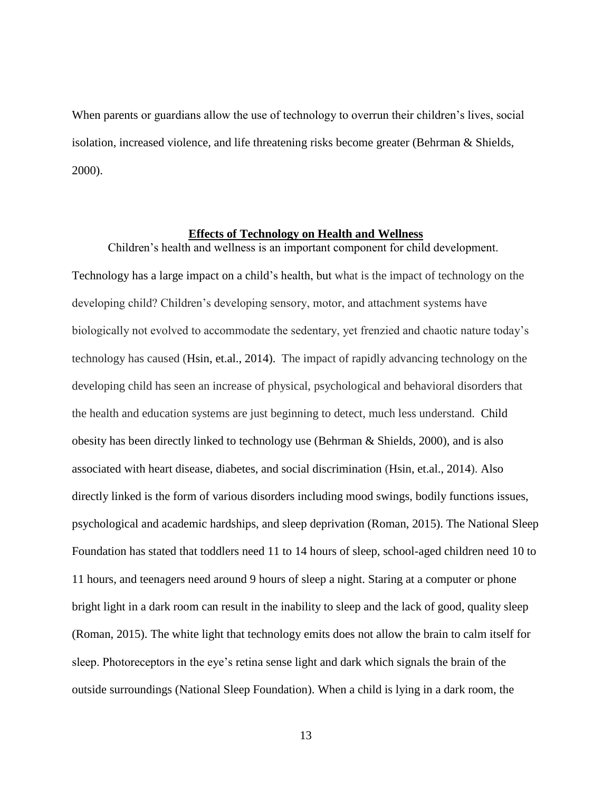When parents or guardians allow the use of technology to overrun their children's lives, social isolation, increased violence, and life threatening risks become greater (Behrman & Shields, 2000).

#### **Effects of Technology on Health and Wellness**

<span id="page-20-0"></span>Children's health and wellness is an important component for child development. Technology has a large impact on a child's health, but what is the impact of technology on the developing child? Children's developing sensory, motor, and attachment systems have biologically not evolved to accommodate the sedentary, yet frenzied and chaotic nature today's technology has caused (Hsin, et.al., 2014). The impact of rapidly advancing technology on the developing child has seen an increase of physical, psychological and behavioral disorders that the health and education systems are just beginning to detect, much less understand. Child obesity has been directly linked to technology use (Behrman & Shields, 2000), and is also associated with heart disease, diabetes, and social discrimination (Hsin, et.al., 2014). Also directly linked is the form of various disorders including mood swings, bodily functions issues, psychological and academic hardships, and sleep deprivation (Roman, 2015). The National Sleep Foundation has stated that toddlers need 11 to 14 hours of sleep, school-aged children need 10 to 11 hours, and teenagers need around 9 hours of sleep a night. Staring at a computer or phone bright light in a dark room can result in the inability to sleep and the lack of good, quality sleep (Roman, 2015). The white light that technology emits does not allow the brain to calm itself for sleep. Photoreceptors in the eye's retina sense light and dark which signals the brain of the outside surroundings (National Sleep Foundation). When a child is lying in a dark room, the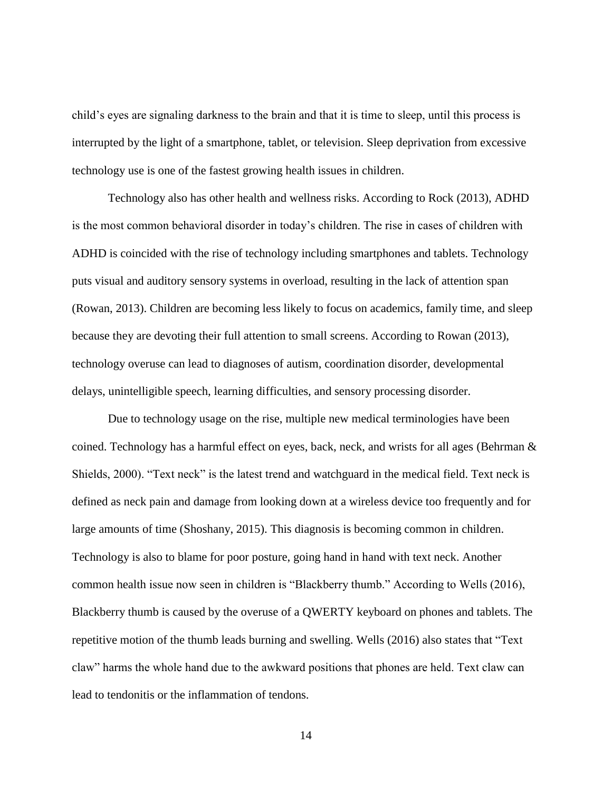child's eyes are signaling darkness to the brain and that it is time to sleep, until this process is interrupted by the light of a smartphone, tablet, or television. Sleep deprivation from excessive technology use is one of the fastest growing health issues in children.

Technology also has other health and wellness risks. According to Rock (2013), ADHD is the most common behavioral disorder in today's children. The rise in cases of children with ADHD is coincided with the rise of technology including smartphones and tablets. Technology puts visual and auditory sensory systems in overload, resulting in the lack of attention span (Rowan, 2013). Children are becoming less likely to focus on academics, family time, and sleep because they are devoting their full attention to small screens. According to Rowan (2013), technology overuse can lead to diagnoses of autism, coordination disorder, developmental delays, unintelligible speech, learning difficulties, and sensory processing disorder.

Due to technology usage on the rise, multiple new medical terminologies have been coined. Technology has a harmful effect on eyes, back, neck, and wrists for all ages (Behrman  $\&$ Shields, 2000). "Text neck" is the latest trend and watchguard in the medical field. Text neck is defined as neck pain and damage from looking down at a wireless device too frequently and for large amounts of time (Shoshany, 2015). This diagnosis is becoming common in children. Technology is also to blame for poor posture, going hand in hand with text neck. Another common health issue now seen in children is "Blackberry thumb." According to Wells (2016), Blackberry thumb is caused by the overuse of a QWERTY keyboard on phones and tablets. The repetitive motion of the thumb leads burning and swelling. Wells (2016) also states that "Text claw" harms the whole hand due to the awkward positions that phones are held. Text claw can lead to tendonitis or the inflammation of tendons.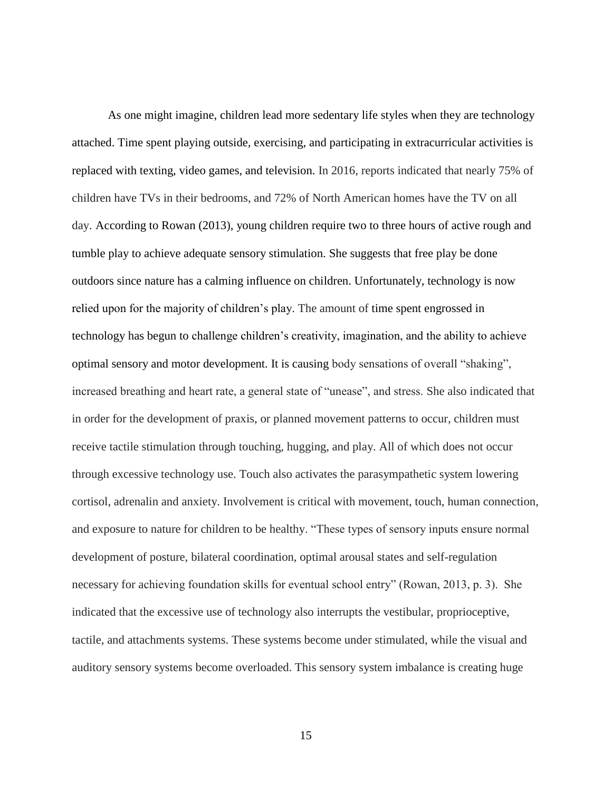As one might imagine, children lead more sedentary life styles when they are technology attached. Time spent playing outside, exercising, and participating in extracurricular activities is replaced with texting, video games, and television. In 2016, reports indicated that nearly 75% of children have TVs in their bedrooms, and 72% of North American homes have the TV on all day. According to Rowan (2013), young children require two to three hours of active rough and tumble play to achieve adequate sensory stimulation. She suggests that free play be done outdoors since nature has a calming influence on children. Unfortunately, technology is now relied upon for the majority of children's play. The amount of time spent engrossed in technology has begun to challenge children's creativity, imagination, and the ability to achieve optimal sensory and motor development. It is causing body sensations of overall "shaking", increased breathing and heart rate, a general state of "unease", and stress. She also indicated that in order for the development of praxis, or planned movement patterns to occur, children must receive tactile stimulation through touching, hugging, and play. All of which does not occur through excessive technology use. Touch also activates the parasympathetic system lowering cortisol, adrenalin and anxiety. Involvement is critical with movement, touch, human connection, and exposure to nature for children to be healthy. "These types of sensory inputs ensure normal development of posture, bilateral coordination, optimal arousal states and self-regulation necessary for achieving foundation skills for eventual school entry" (Rowan, 2013, p. 3). She indicated that the excessive use of technology also interrupts the vestibular, proprioceptive, tactile, and attachments systems. These systems become under stimulated, while the visual and auditory sensory systems become overloaded. This sensory system imbalance is creating huge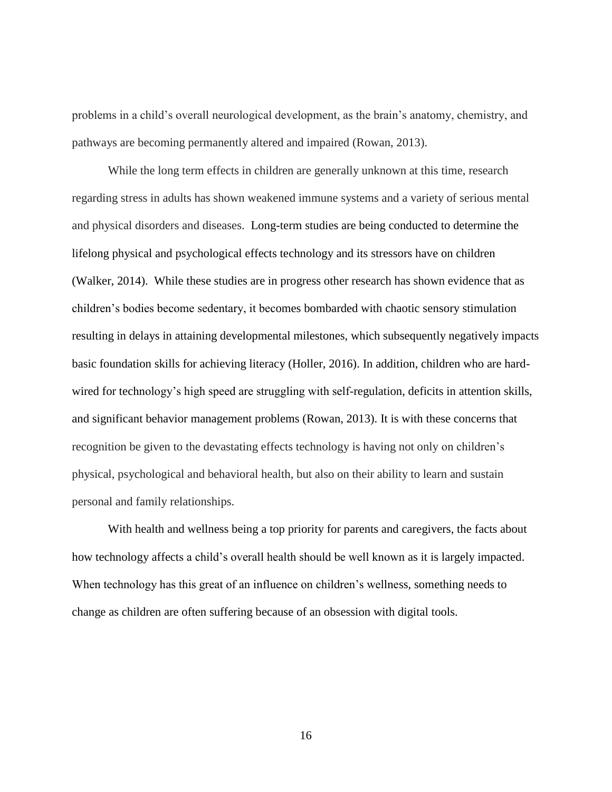problems in a child's overall neurological development, as the brain's anatomy, chemistry, and pathways are becoming permanently altered and impaired (Rowan, 2013).

While the long term effects in children are generally unknown at this time, research regarding stress in adults has shown weakened immune systems and a variety of serious mental and physical disorders and diseases. Long-term studies are being conducted to determine the lifelong physical and psychological effects technology and its stressors have on children (Walker, 2014). While these studies are in progress other research has shown evidence that as children's bodies become sedentary, it becomes bombarded with chaotic sensory stimulation resulting in delays in attaining developmental milestones, which subsequently negatively impacts basic foundation skills for achieving literacy (Holler, 2016). In addition, children who are hardwired for technology's high speed are struggling with self-regulation, deficits in attention skills, and significant behavior management problems (Rowan, 2013). It is with these concerns that recognition be given to the devastating effects technology is having not only on children's physical, psychological and behavioral health, but also on their ability to learn and sustain personal and family relationships.

With health and wellness being a top priority for parents and caregivers, the facts about how technology affects a child's overall health should be well known as it is largely impacted. When technology has this great of an influence on children's wellness, something needs to change as children are often suffering because of an obsession with digital tools.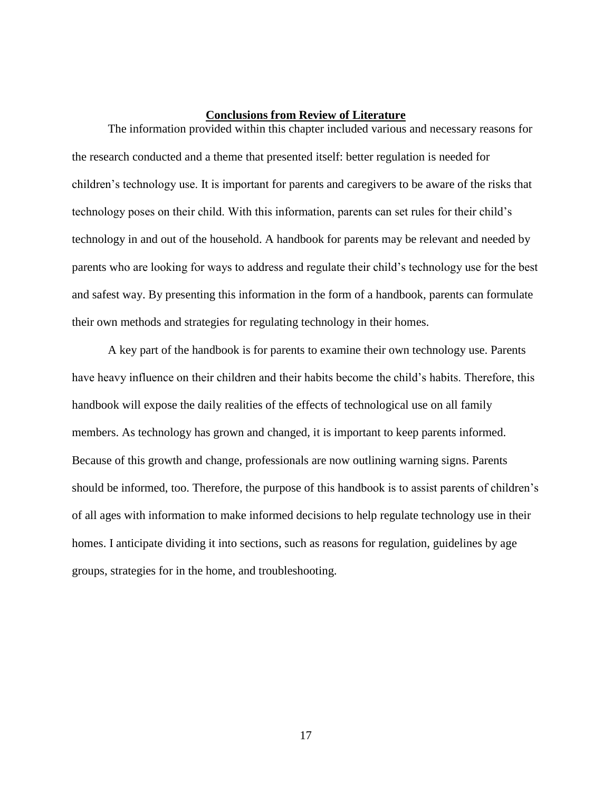#### **Conclusions from Review of Literature**

<span id="page-24-0"></span>The information provided within this chapter included various and necessary reasons for the research conducted and a theme that presented itself: better regulation is needed for children's technology use. It is important for parents and caregivers to be aware of the risks that technology poses on their child. With this information, parents can set rules for their child's technology in and out of the household. A handbook for parents may be relevant and needed by parents who are looking for ways to address and regulate their child's technology use for the best and safest way. By presenting this information in the form of a handbook, parents can formulate their own methods and strategies for regulating technology in their homes.

A key part of the handbook is for parents to examine their own technology use. Parents have heavy influence on their children and their habits become the child's habits. Therefore, this handbook will expose the daily realities of the effects of technological use on all family members. As technology has grown and changed, it is important to keep parents informed. Because of this growth and change, professionals are now outlining warning signs. Parents should be informed, too. Therefore, the purpose of this handbook is to assist parents of children's of all ages with information to make informed decisions to help regulate technology use in their homes. I anticipate dividing it into sections, such as reasons for regulation, guidelines by age groups, strategies for in the home, and troubleshooting.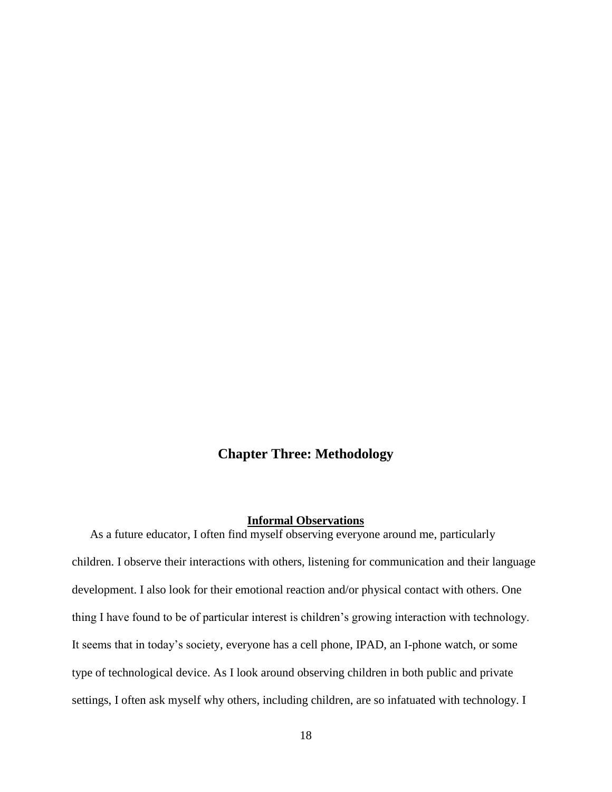## **Chapter Three: Methodology**

#### **Informal Observations**

<span id="page-25-1"></span><span id="page-25-0"></span>As a future educator, I often find myself observing everyone around me, particularly children. I observe their interactions with others, listening for communication and their language development. I also look for their emotional reaction and/or physical contact with others. One thing I have found to be of particular interest is children's growing interaction with technology. It seems that in today's society, everyone has a cell phone, IPAD, an I-phone watch, or some type of technological device. As I look around observing children in both public and private settings, I often ask myself why others, including children, are so infatuated with technology. I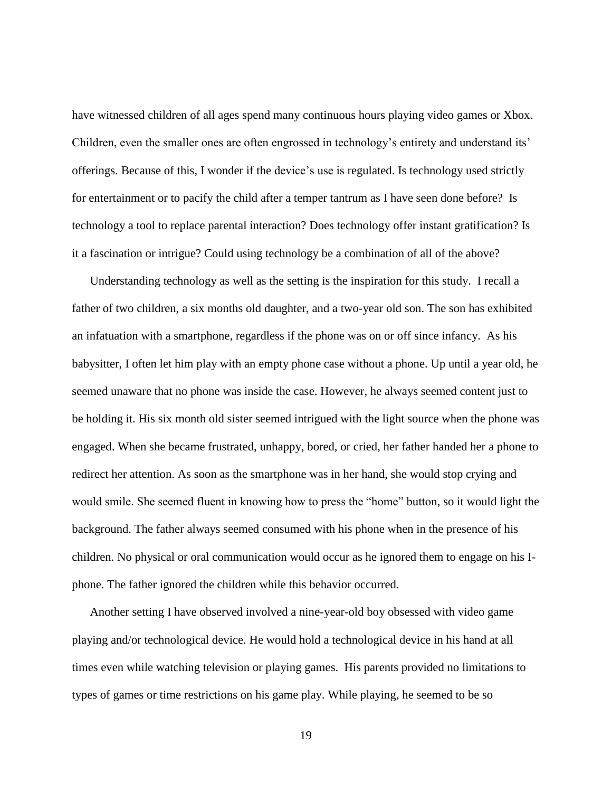have witnessed children of all ages spend many continuous hours playing video games or Xbox. Children, even the smaller ones are often engrossed in technology's entirety and understand its' offerings. Because of this, I wonder if the device's use is regulated. Is technology used strictly for entertainment or to pacify the child after a temper tantrum as I have seen done before? Is technology a tool to replace parental interaction? Does technology offer instant gratification? Is it a fascination or intrigue? Could using technology be a combination of all of the above?

Understanding technology as well as the setting is the inspiration for this study. I recall a father of two children, a six months old daughter, and a two-year old son. The son has exhibited an infatuation with a smartphone, regardless if the phone was on or off since infancy. As his babysitter, I often let him play with an empty phone case without a phone. Up until a year old, he seemed unaware that no phone was inside the case. However, he always seemed content just to be holding it. His six month old sister seemed intrigued with the light source when the phone was engaged. When she became frustrated, unhappy, bored, or cried, her father handed her a phone to redirect her attention. As soon as the smartphone was in her hand, she would stop crying and would smile. She seemed fluent in knowing how to press the "home" button, so it would light the background. The father always seemed consumed with his phone when in the presence of his children. No physical or oral communication would occur as he ignored them to engage on his Iphone. The father ignored the children while this behavior occurred.

Another setting I have observed involved a nine-year-old boy obsessed with video game playing and/or technological device. He would hold a technological device in his hand at all times even while watching television or playing games. His parents provided no limitations to types of games or time restrictions on his game play. While playing, he seemed to be so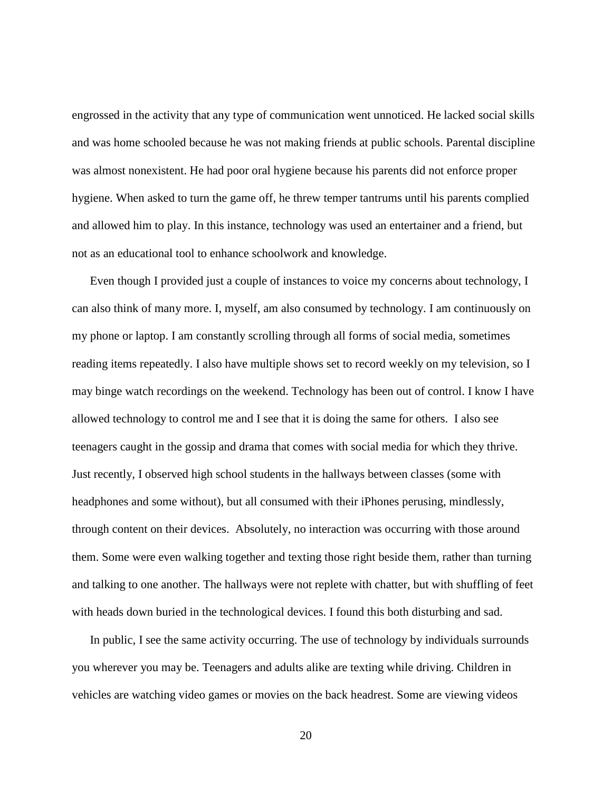engrossed in the activity that any type of communication went unnoticed. He lacked social skills and was home schooled because he was not making friends at public schools. Parental discipline was almost nonexistent. He had poor oral hygiene because his parents did not enforce proper hygiene. When asked to turn the game off, he threw temper tantrums until his parents complied and allowed him to play. In this instance, technology was used an entertainer and a friend, but not as an educational tool to enhance schoolwork and knowledge.

Even though I provided just a couple of instances to voice my concerns about technology, I can also think of many more. I, myself, am also consumed by technology. I am continuously on my phone or laptop. I am constantly scrolling through all forms of social media, sometimes reading items repeatedly. I also have multiple shows set to record weekly on my television, so I may binge watch recordings on the weekend. Technology has been out of control. I know I have allowed technology to control me and I see that it is doing the same for others. I also see teenagers caught in the gossip and drama that comes with social media for which they thrive. Just recently, I observed high school students in the hallways between classes (some with headphones and some without), but all consumed with their iPhones perusing, mindlessly, through content on their devices. Absolutely, no interaction was occurring with those around them. Some were even walking together and texting those right beside them, rather than turning and talking to one another. The hallways were not replete with chatter, but with shuffling of feet with heads down buried in the technological devices. I found this both disturbing and sad.

In public, I see the same activity occurring. The use of technology by individuals surrounds you wherever you may be. Teenagers and adults alike are texting while driving. Children in vehicles are watching video games or movies on the back headrest. Some are viewing videos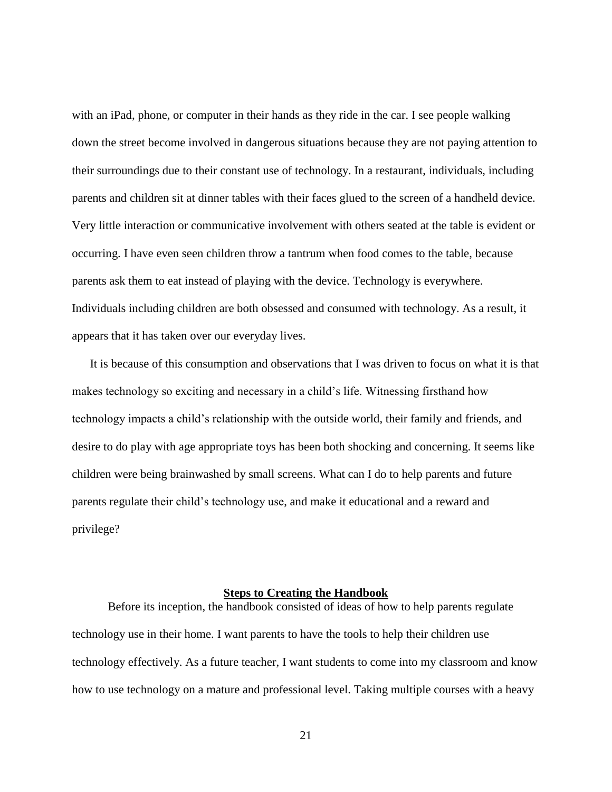with an iPad, phone, or computer in their hands as they ride in the car. I see people walking down the street become involved in dangerous situations because they are not paying attention to their surroundings due to their constant use of technology. In a restaurant, individuals, including parents and children sit at dinner tables with their faces glued to the screen of a handheld device. Very little interaction or communicative involvement with others seated at the table is evident or occurring. I have even seen children throw a tantrum when food comes to the table, because parents ask them to eat instead of playing with the device. Technology is everywhere. Individuals including children are both obsessed and consumed with technology. As a result, it appears that it has taken over our everyday lives.

It is because of this consumption and observations that I was driven to focus on what it is that makes technology so exciting and necessary in a child's life. Witnessing firsthand how technology impacts a child's relationship with the outside world, their family and friends, and desire to do play with age appropriate toys has been both shocking and concerning. It seems like children were being brainwashed by small screens. What can I do to help parents and future parents regulate their child's technology use, and make it educational and a reward and privilege?

#### **Steps to Creating the Handbook**

<span id="page-28-0"></span>Before its inception, the handbook consisted of ideas of how to help parents regulate technology use in their home. I want parents to have the tools to help their children use technology effectively. As a future teacher, I want students to come into my classroom and know how to use technology on a mature and professional level. Taking multiple courses with a heavy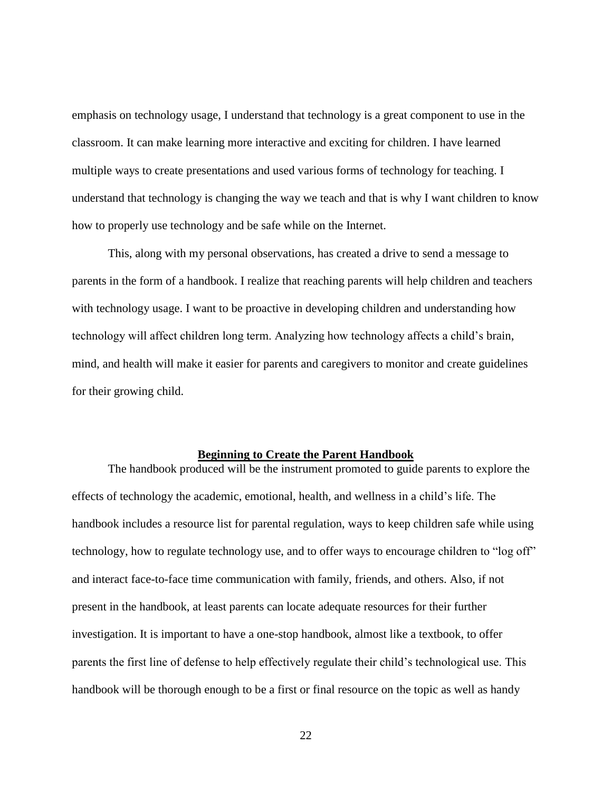emphasis on technology usage, I understand that technology is a great component to use in the classroom. It can make learning more interactive and exciting for children. I have learned multiple ways to create presentations and used various forms of technology for teaching. I understand that technology is changing the way we teach and that is why I want children to know how to properly use technology and be safe while on the Internet.

This, along with my personal observations, has created a drive to send a message to parents in the form of a handbook. I realize that reaching parents will help children and teachers with technology usage. I want to be proactive in developing children and understanding how technology will affect children long term. Analyzing how technology affects a child's brain, mind, and health will make it easier for parents and caregivers to monitor and create guidelines for their growing child.

#### **Beginning to Create the Parent Handbook**

<span id="page-29-0"></span>The handbook produced will be the instrument promoted to guide parents to explore the effects of technology the academic, emotional, health, and wellness in a child's life. The handbook includes a resource list for parental regulation, ways to keep children safe while using technology, how to regulate technology use, and to offer ways to encourage children to "log off" and interact face-to-face time communication with family, friends, and others. Also, if not present in the handbook, at least parents can locate adequate resources for their further investigation. It is important to have a one-stop handbook, almost like a textbook, to offer parents the first line of defense to help effectively regulate their child's technological use. This handbook will be thorough enough to be a first or final resource on the topic as well as handy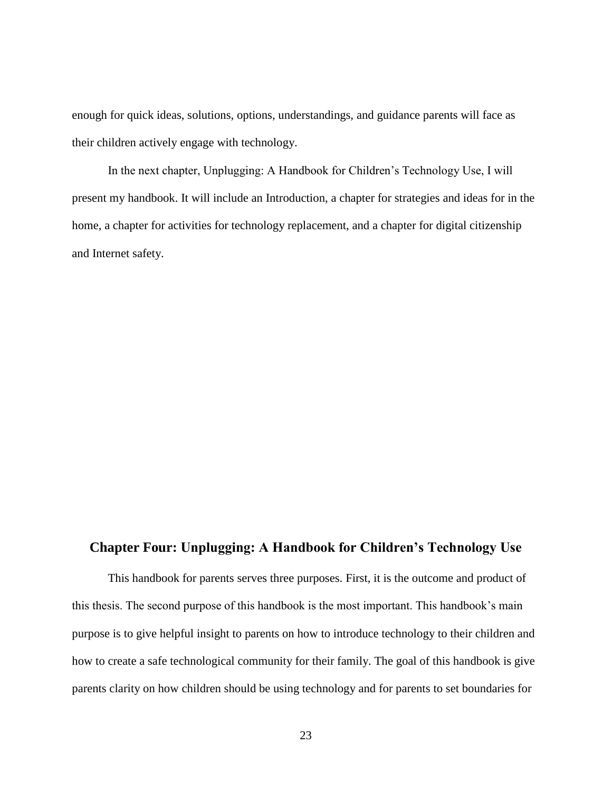enough for quick ideas, solutions, options, understandings, and guidance parents will face as their children actively engage with technology.

In the next chapter, Unplugging: A Handbook for Children's Technology Use, I will present my handbook. It will include an Introduction, a chapter for strategies and ideas for in the home, a chapter for activities for technology replacement, and a chapter for digital citizenship and Internet safety.

## <span id="page-30-0"></span>**Chapter Four: Unplugging: A Handbook for Children's Technology Use**

This handbook for parents serves three purposes. First, it is the outcome and product of this thesis. The second purpose of this handbook is the most important. This handbook's main purpose is to give helpful insight to parents on how to introduce technology to their children and how to create a safe technological community for their family. The goal of this handbook is give parents clarity on how children should be using technology and for parents to set boundaries for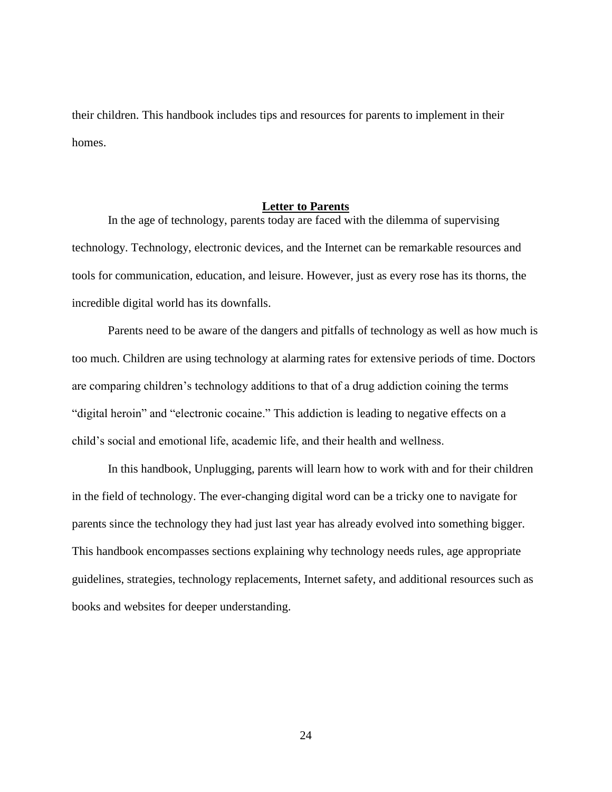their children. This handbook includes tips and resources for parents to implement in their homes.

#### **Letter to Parents**

<span id="page-31-0"></span>In the age of technology, parents today are faced with the dilemma of supervising technology. Technology, electronic devices, and the Internet can be remarkable resources and tools for communication, education, and leisure. However, just as every rose has its thorns, the incredible digital world has its downfalls.

Parents need to be aware of the dangers and pitfalls of technology as well as how much is too much. Children are using technology at alarming rates for extensive periods of time. Doctors are comparing children's technology additions to that of a drug addiction coining the terms "digital heroin" and "electronic cocaine." This addiction is leading to negative effects on a child's social and emotional life, academic life, and their health and wellness.

In this handbook, Unplugging, parents will learn how to work with and for their children in the field of technology. The ever-changing digital word can be a tricky one to navigate for parents since the technology they had just last year has already evolved into something bigger. This handbook encompasses sections explaining why technology needs rules, age appropriate guidelines, strategies, technology replacements, Internet safety, and additional resources such as books and websites for deeper understanding.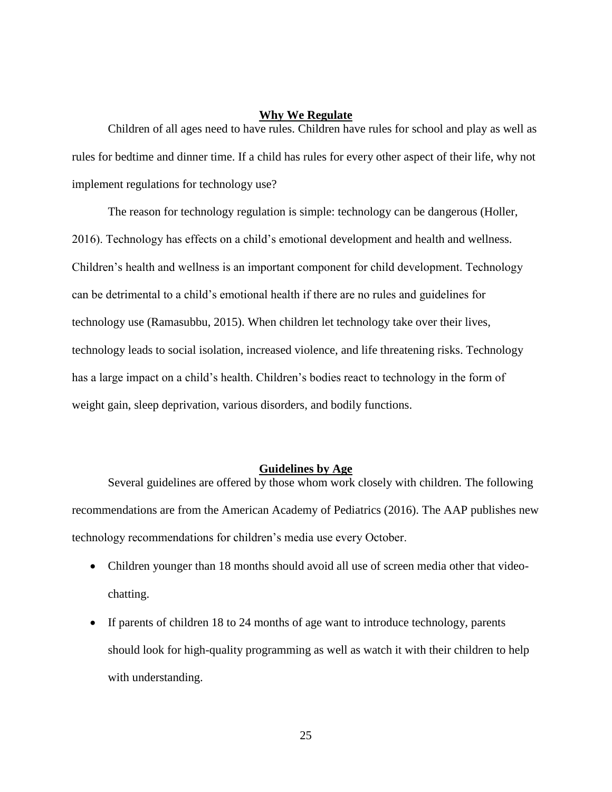#### **Why We Regulate**

<span id="page-32-0"></span>Children of all ages need to have rules. Children have rules for school and play as well as rules for bedtime and dinner time. If a child has rules for every other aspect of their life, why not implement regulations for technology use?

The reason for technology regulation is simple: technology can be dangerous (Holler, 2016). Technology has effects on a child's emotional development and health and wellness. Children's health and wellness is an important component for child development. Technology can be detrimental to a child's emotional health if there are no rules and guidelines for technology use (Ramasubbu, 2015). When children let technology take over their lives, technology leads to social isolation, increased violence, and life threatening risks. Technology has a large impact on a child's health. Children's bodies react to technology in the form of weight gain, sleep deprivation, various disorders, and bodily functions.

#### **Guidelines by Age**

<span id="page-32-1"></span>Several guidelines are offered by those whom work closely with children. The following recommendations are from the American Academy of Pediatrics (2016). The AAP publishes new technology recommendations for children's media use every October.

- Children younger than 18 months should avoid all use of screen media other that videochatting.
- If parents of children 18 to 24 months of age want to introduce technology, parents should look for high-quality programming as well as watch it with their children to help with understanding.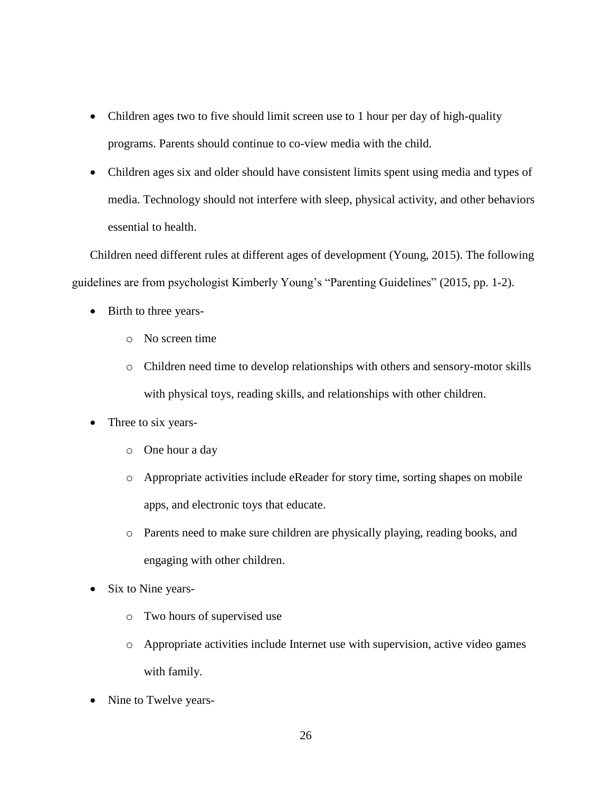- Children ages two to five should limit screen use to 1 hour per day of high-quality programs. Parents should continue to co-view media with the child.
- Children ages six and older should have consistent limits spent using media and types of media. Technology should not interfere with sleep, physical activity, and other behaviors essential to health.

Children need different rules at different ages of development (Young, 2015). The following guidelines are from psychologist Kimberly Young's "Parenting Guidelines" (2015, pp. 1-2).

- Birth to three years
	- o No screen time
	- o Children need time to develop relationships with others and sensory-motor skills with physical toys, reading skills, and relationships with other children.
- Three to six years
	- o One hour a day
	- o Appropriate activities include eReader for story time, sorting shapes on mobile apps, and electronic toys that educate.
	- o Parents need to make sure children are physically playing, reading books, and engaging with other children.
- Six to Nine years
	- o Two hours of supervised use
	- o Appropriate activities include Internet use with supervision, active video games with family.
- Nine to Twelve years-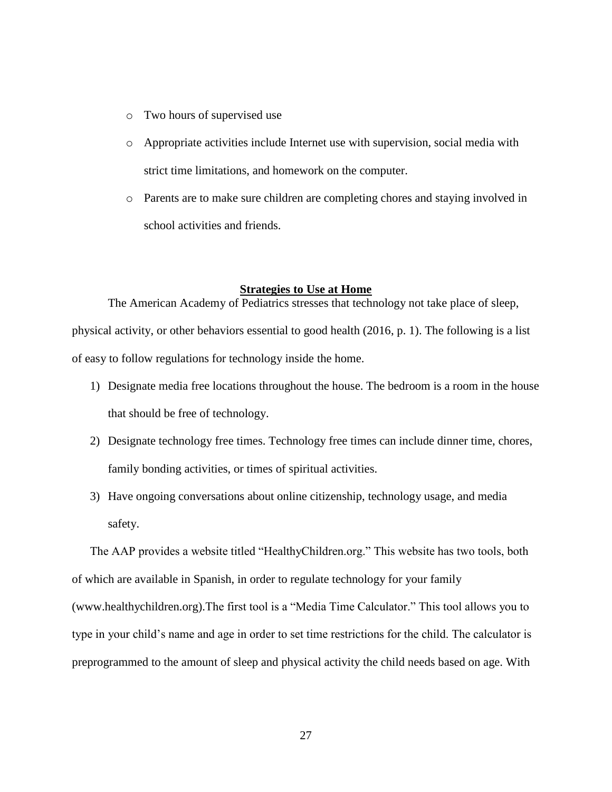- o Two hours of supervised use
- o Appropriate activities include Internet use with supervision, social media with strict time limitations, and homework on the computer.
- o Parents are to make sure children are completing chores and staying involved in school activities and friends.

#### **Strategies to Use at Home**

<span id="page-34-0"></span>The American Academy of Pediatrics stresses that technology not take place of sleep, physical activity, or other behaviors essential to good health (2016, p. 1). The following is a list of easy to follow regulations for technology inside the home.

- 1) Designate media free locations throughout the house. The bedroom is a room in the house that should be free of technology.
- 2) Designate technology free times. Technology free times can include dinner time, chores, family bonding activities, or times of spiritual activities.
- 3) Have ongoing conversations about online citizenship, technology usage, and media safety.

The AAP provides a website titled "HealthyChildren.org." This website has two tools, both of which are available in Spanish, in order to regulate technology for your family (www.healthychildren.org).The first tool is a "Media Time Calculator." This tool allows you to type in your child's name and age in order to set time restrictions for the child. The calculator is preprogrammed to the amount of sleep and physical activity the child needs based on age. With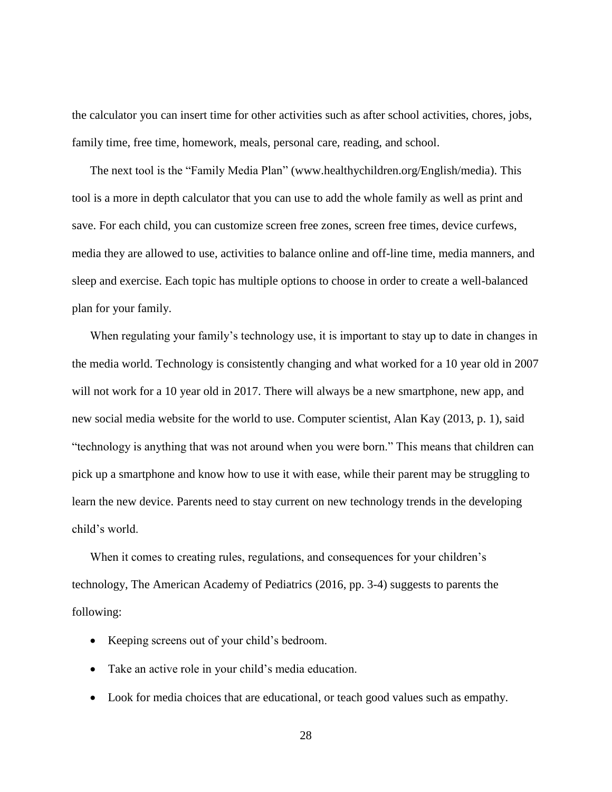the calculator you can insert time for other activities such as after school activities, chores, jobs, family time, free time, homework, meals, personal care, reading, and school.

The next tool is the "Family Media Plan" (www.healthychildren.org/English/media). This tool is a more in depth calculator that you can use to add the whole family as well as print and save. For each child, you can customize screen free zones, screen free times, device curfews, media they are allowed to use, activities to balance online and off-line time, media manners, and sleep and exercise. Each topic has multiple options to choose in order to create a well-balanced plan for your family.

When regulating your family's technology use, it is important to stay up to date in changes in the media world. Technology is consistently changing and what worked for a 10 year old in 2007 will not work for a 10 year old in 2017. There will always be a new smartphone, new app, and new social media website for the world to use. Computer scientist, Alan Kay (2013, p. 1), said "technology is anything that was not around when you were born." This means that children can pick up a smartphone and know how to use it with ease, while their parent may be struggling to learn the new device. Parents need to stay current on new technology trends in the developing child's world.

When it comes to creating rules, regulations, and consequences for your children's technology, The American Academy of Pediatrics (2016, pp. 3-4) suggests to parents the following:

- Keeping screens out of your child's bedroom.
- Take an active role in your child's media education.
- Look for media choices that are educational, or teach good values such as empathy.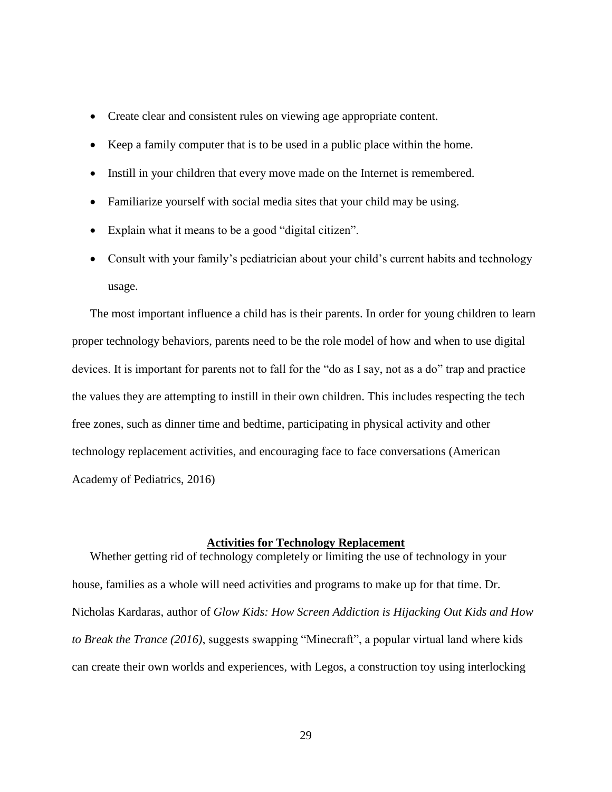- Create clear and consistent rules on viewing age appropriate content.
- Keep a family computer that is to be used in a public place within the home.
- Instill in your children that every move made on the Internet is remembered.
- Familiarize yourself with social media sites that your child may be using.
- Explain what it means to be a good "digital citizen".
- Consult with your family's pediatrician about your child's current habits and technology usage.

The most important influence a child has is their parents. In order for young children to learn proper technology behaviors, parents need to be the role model of how and when to use digital devices. It is important for parents not to fall for the "do as I say, not as a do" trap and practice the values they are attempting to instill in their own children. This includes respecting the tech free zones, such as dinner time and bedtime, participating in physical activity and other technology replacement activities, and encouraging face to face conversations (American Academy of Pediatrics, 2016)

#### **Activities for Technology Replacement**

<span id="page-36-0"></span>Whether getting rid of technology completely or limiting the use of technology in your house, families as a whole will need activities and programs to make up for that time. Dr. Nicholas Kardaras, author of *Glow Kids: How Screen Addiction is Hijacking Out Kids and How to Break the Trance (2016)*, suggests swapping "Minecraft", a popular virtual land where kids can create their own worlds and experiences, with Legos, a construction toy using interlocking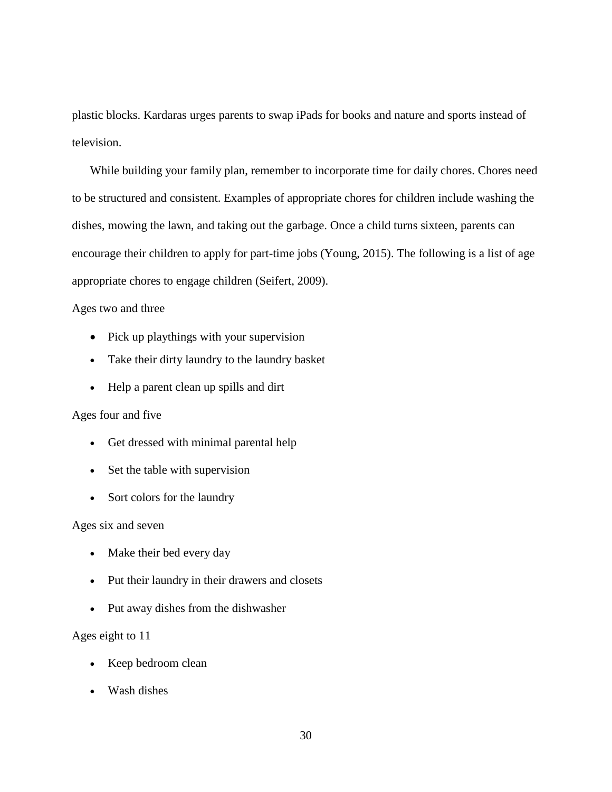plastic blocks. Kardaras urges parents to swap iPads for books and nature and sports instead of television.

While building your family plan, remember to incorporate time for daily chores. Chores need to be structured and consistent. Examples of appropriate chores for children include washing the dishes, mowing the lawn, and taking out the garbage. Once a child turns sixteen, parents can encourage their children to apply for part-time jobs (Young, 2015). The following is a list of age appropriate chores to engage children (Seifert, 2009).

#### Ages two and three

- Pick up playthings with your supervision
- Take their dirty laundry to the laundry basket
- Help a parent clean up spills and dirt

#### Ages four and five

- Get dressed with minimal parental help
- Set the table with supervision
- Sort colors for the laundry

#### Ages six and seven

- Make their bed every day
- Put their laundry in their drawers and closets
- Put away dishes from the dishwasher

#### Ages eight to 11

- Keep bedroom clean
- Wash dishes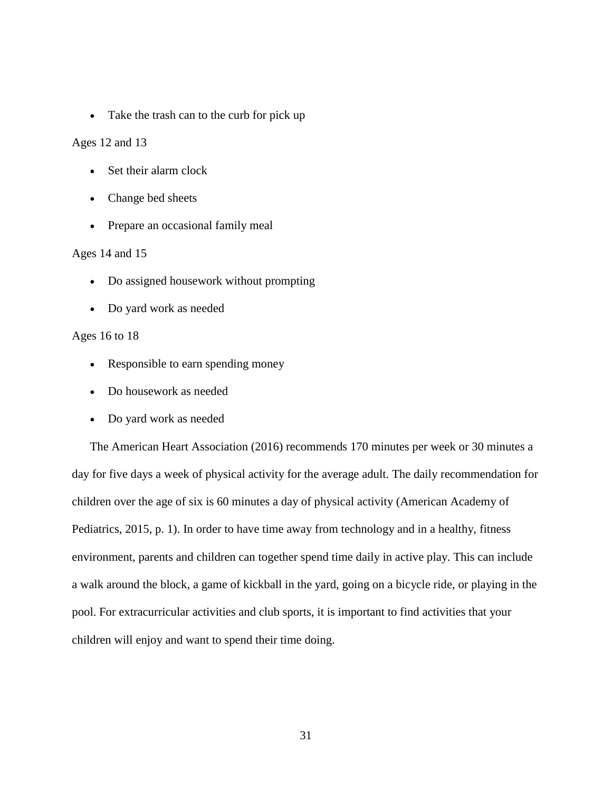• Take the trash can to the curb for pick up

Ages 12 and 13

- Set their alarm clock
- Change bed sheets
- Prepare an occasional family meal

#### Ages 14 and 15

- Do assigned housework without prompting
- Do yard work as needed

#### Ages 16 to 18

- Responsible to earn spending money
- Do housework as needed
- Do yard work as needed

The American Heart Association (2016) recommends 170 minutes per week or 30 minutes a day for five days a week of physical activity for the average adult. The daily recommendation for children over the age of six is 60 minutes a day of physical activity (American Academy of Pediatrics, 2015, p. 1). In order to have time away from technology and in a healthy, fitness environment, parents and children can together spend time daily in active play. This can include a walk around the block, a game of kickball in the yard, going on a bicycle ride, or playing in the pool. For extracurricular activities and club sports, it is important to find activities that your children will enjoy and want to spend their time doing.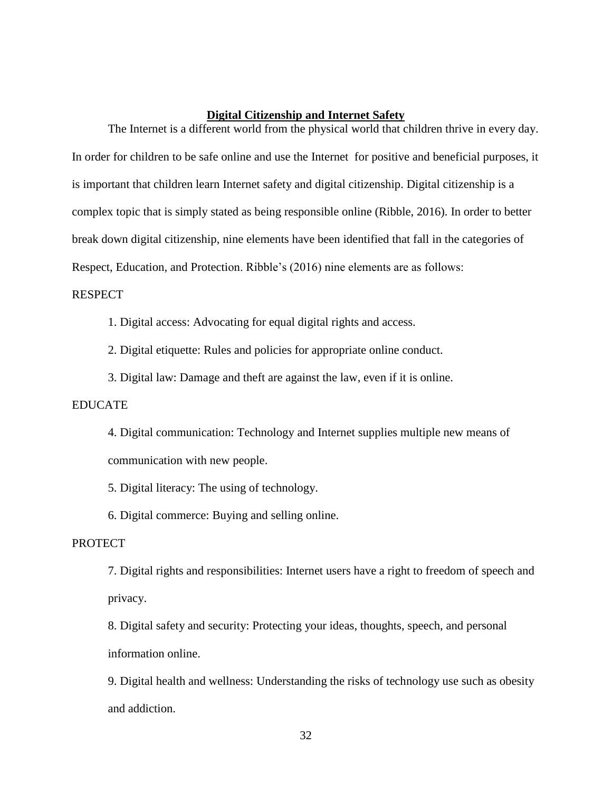#### **Digital Citizenship and Internet Safety**

<span id="page-39-0"></span>The Internet is a different world from the physical world that children thrive in every day. In order for children to be safe online and use the Internet for positive and beneficial purposes, it is important that children learn Internet safety and digital citizenship. Digital citizenship is a complex topic that is simply stated as being responsible online (Ribble, 2016). In order to better break down digital citizenship, nine elements have been identified that fall in the categories of Respect, Education, and Protection. Ribble's (2016) nine elements are as follows:

#### RESPECT

1. Digital access: Advocating for equal digital rights and access.

2. Digital etiquette: Rules and policies for appropriate online conduct.

3. Digital law: Damage and theft are against the law, even if it is online.

#### EDUCATE

4. Digital communication: Technology and Internet supplies multiple new means of communication with new people.

5. Digital literacy: The using of technology.

6. Digital commerce: Buying and selling online.

#### **PROTECT**

7. Digital rights and responsibilities: Internet users have a right to freedom of speech and privacy.

8. Digital safety and security: Protecting your ideas, thoughts, speech, and personal information online.

9. Digital health and wellness: Understanding the risks of technology use such as obesity and addiction.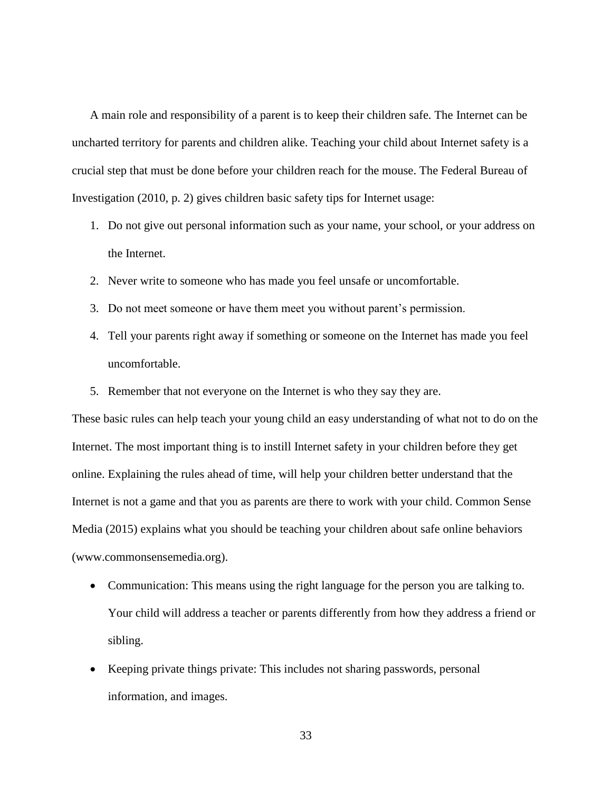A main role and responsibility of a parent is to keep their children safe. The Internet can be uncharted territory for parents and children alike. Teaching your child about Internet safety is a crucial step that must be done before your children reach for the mouse. The Federal Bureau of Investigation (2010, p. 2) gives children basic safety tips for Internet usage:

- 1. Do not give out personal information such as your name, your school, or your address on the Internet.
- 2. Never write to someone who has made you feel unsafe or uncomfortable.
- 3. Do not meet someone or have them meet you without parent's permission.
- 4. Tell your parents right away if something or someone on the Internet has made you feel uncomfortable.
- 5. Remember that not everyone on the Internet is who they say they are.

These basic rules can help teach your young child an easy understanding of what not to do on the Internet. The most important thing is to instill Internet safety in your children before they get online. Explaining the rules ahead of time, will help your children better understand that the Internet is not a game and that you as parents are there to work with your child. Common Sense Media (2015) explains what you should be teaching your children about safe online behaviors (www.commonsensemedia.org).

- Communication: This means using the right language for the person you are talking to. Your child will address a teacher or parents differently from how they address a friend or sibling.
- Keeping private things private: This includes not sharing passwords, personal information, and images.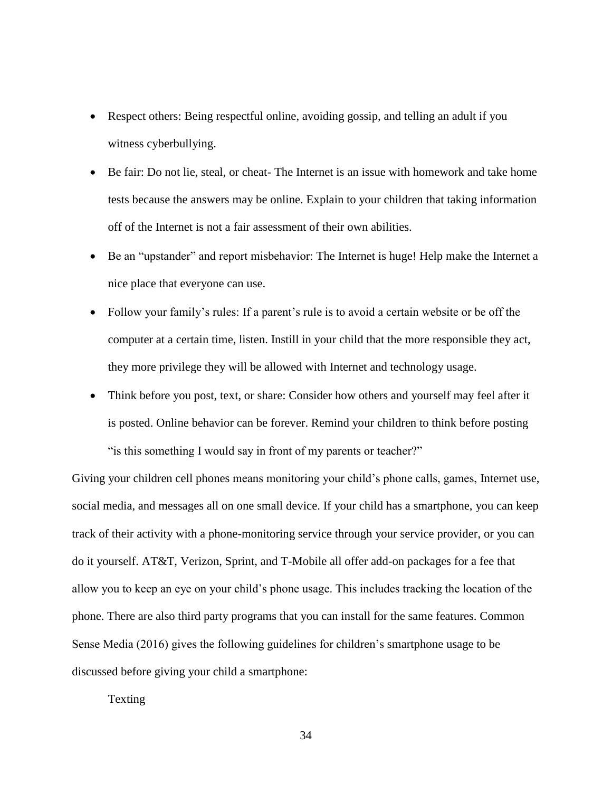- Respect others: Being respectful online, avoiding gossip, and telling an adult if you witness cyberbullying.
- Be fair: Do not lie, steal, or cheat- The Internet is an issue with homework and take home tests because the answers may be online. Explain to your children that taking information off of the Internet is not a fair assessment of their own abilities.
- Be an "upstander" and report misbehavior: The Internet is huge! Help make the Internet a nice place that everyone can use.
- Follow your family's rules: If a parent's rule is to avoid a certain website or be off the computer at a certain time, listen. Instill in your child that the more responsible they act, they more privilege they will be allowed with Internet and technology usage.
- Think before you post, text, or share: Consider how others and yourself may feel after it is posted. Online behavior can be forever. Remind your children to think before posting " is this something I would say in front of my parents or teacher?"

Giving your children cell phones means monitoring your child's phone calls, games, Internet use, social media, and messages all on one small device. If your child has a smartphone, you can keep track of their activity with a phone-monitoring service through your service provider, or you can do it yourself. AT&T, Verizon, Sprint, and T-Mobile all offer add-on packages for a fee that allow you to keep an eye on your child's phone usage. This includes tracking the location of the phone. There are also third party programs that you can install for the same features. Common Sense Media (2016) gives the following guidelines for children's smartphone usage to be discussed before giving your child a smartphone:

Texting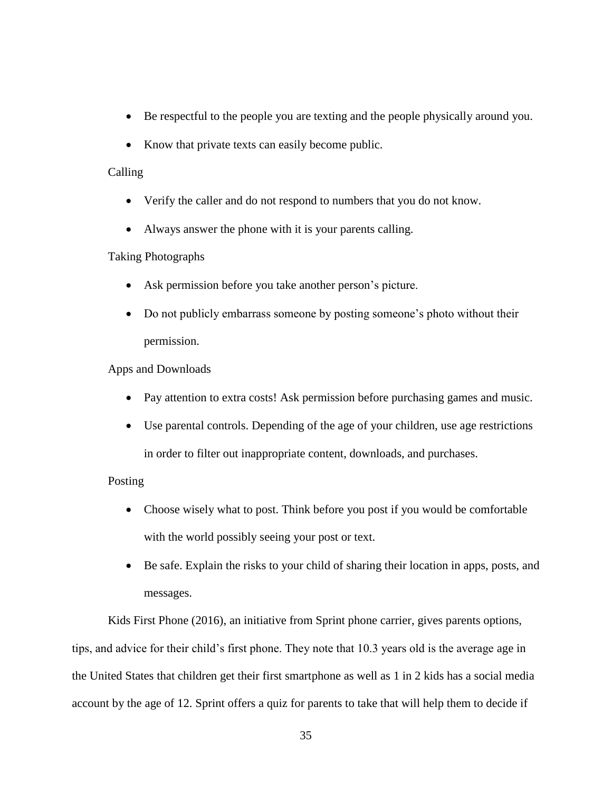- Be respectful to the people you are texting and the people physically around you.
- Know that private texts can easily become public.

## Calling

- Verify the caller and do not respond to numbers that you do not know.
- Always answer the phone with it is your parents calling.

## Taking Photographs

- Ask permission before you take another person's picture.
- Do not publicly embarrass someone by posting someone's photo without their permission.

## Apps and Downloads

- Pay attention to extra costs! Ask permission before purchasing games and music.
- Use parental controls. Depending of the age of your children, use age restrictions in order to filter out inappropriate content, downloads, and purchases.

## Posting

- Choose wisely what to post. Think before you post if you would be comfortable with the world possibly seeing your post or text.
- Be safe. Explain the risks to your child of sharing their location in apps, posts, and messages.

Kids First Phone (2016), an initiative from Sprint phone carrier, gives parents options, tips, and advice for their child's first phone. They note that 10.3 years old is the average age in the United States that children get their first smartphone as well as 1 in 2 kids has a social media account by the age of 12. Sprint offers a quiz for parents to take that will help them to decide if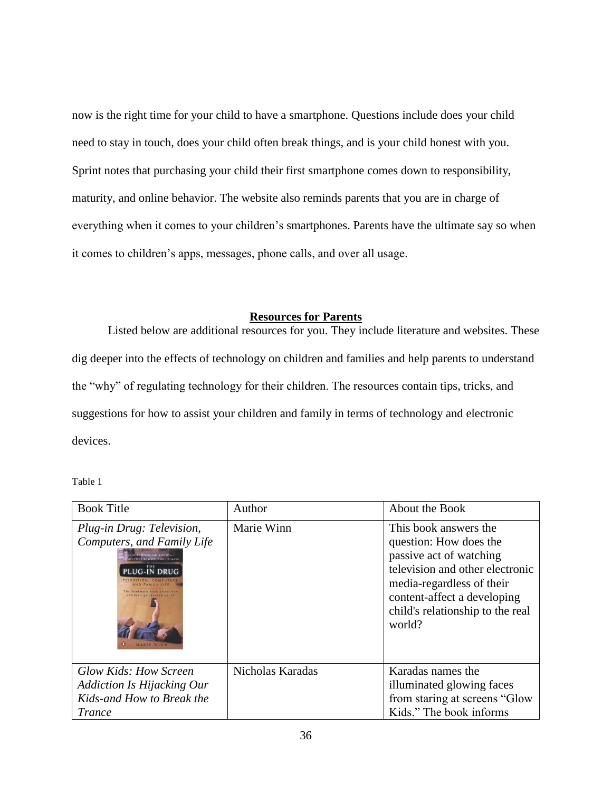now is the right time for your child to have a smartphone. Questions include does your child need to stay in touch, does your child often break things, and is your child honest with you. Sprint notes that purchasing your child their first smartphone comes down to responsibility, maturity, and online behavior. The website also reminds parents that you are in charge of everything when it comes to your children's smartphones. Parents have the ultimate say so when it comes to children's apps, messages, phone calls, and over all usage.

#### **Resources for Parents**

<span id="page-43-0"></span>Listed below are additional resources for you. They include literature and websites. These dig deeper into the effects of technology on children and families and help parents to understand the "why" of regulating technology for their children. The resources contain tips, tricks, and suggestions for how to assist your children and family in terms of technology and electronic devices.

<span id="page-43-1"></span>Table 1

| <b>Book Title</b>                                                                                                                                                                | Author           | About the Book                                                                                                                                                                                                          |
|----------------------------------------------------------------------------------------------------------------------------------------------------------------------------------|------------------|-------------------------------------------------------------------------------------------------------------------------------------------------------------------------------------------------------------------------|
| Plug-in Drug: Television,<br>Computers, and Family Life<br><b>ETELY REVISED AND UPDATE</b><br>THE<br><b>PLUG-IN DRUG</b><br>TELEVISION, COMPUTERS<br>The landmark book about how | Marie Winn       | This book answers the<br>question: How does the<br>passive act of watching<br>television and other electronic<br>media-regardless of their<br>content-affect a developing<br>child's relationship to the real<br>world? |
| Glow Kids: How Screen<br><b>Addiction Is Hijacking Our</b><br>Kids-and How to Break the<br><b>Trance</b>                                                                         | Nicholas Karadas | Karadas names the<br>illuminated glowing faces<br>from staring at screens "Glow<br>Kids." The book informs                                                                                                              |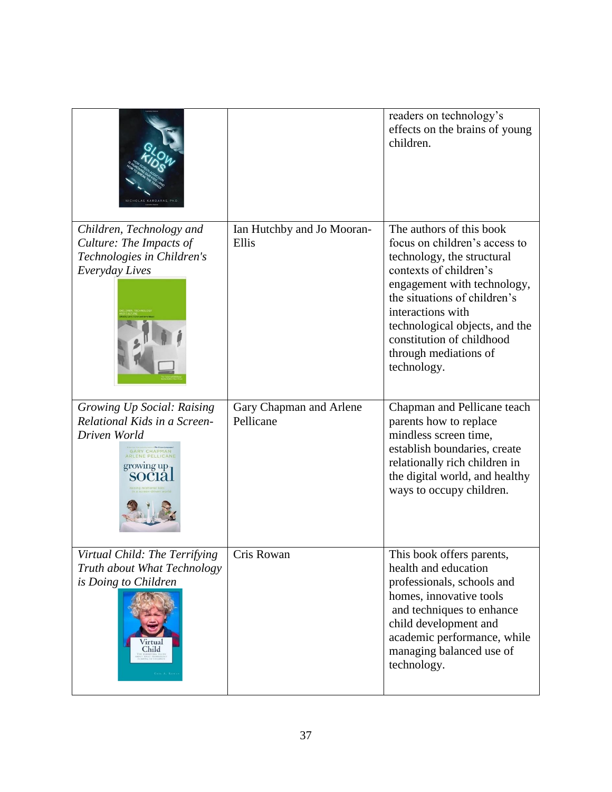|                                                                                                                               |                                      | readers on technology's<br>effects on the brains of young<br>children.                                                                                                                                                                                                                                       |
|-------------------------------------------------------------------------------------------------------------------------------|--------------------------------------|--------------------------------------------------------------------------------------------------------------------------------------------------------------------------------------------------------------------------------------------------------------------------------------------------------------|
| Children, Technology and<br>Culture: The Impacts of<br>Technologies in Children's<br>Everyday Lives                           | Ian Hutchby and Jo Mooran-<br>Ellis  | The authors of this book<br>focus on children's access to<br>technology, the structural<br>contexts of children's<br>engagement with technology,<br>the situations of children's<br>interactions with<br>technological objects, and the<br>constitution of childhood<br>through mediations of<br>technology. |
| Growing Up Social: Raising<br>Relational Kids in a Screen-<br>Driven World<br>GARY CHAPMAN<br>growing up                      | Gary Chapman and Arlene<br>Pellicane | Chapman and Pellicane teach<br>parents how to replace<br>mindless screen time,<br>establish boundaries, create<br>relationally rich children in<br>the digital world, and healthy<br>ways to occupy children.                                                                                                |
| Virtual Child: The Terrifying<br>Truth about What Technology<br>is Doing to Children<br>/irtual<br>Child<br><b>CEILA, ROW</b> | Cris Rowan                           | This book offers parents,<br>health and education<br>professionals, schools and<br>homes, innovative tools<br>and techniques to enhance<br>child development and<br>academic performance, while<br>managing balanced use of<br>technology.                                                                   |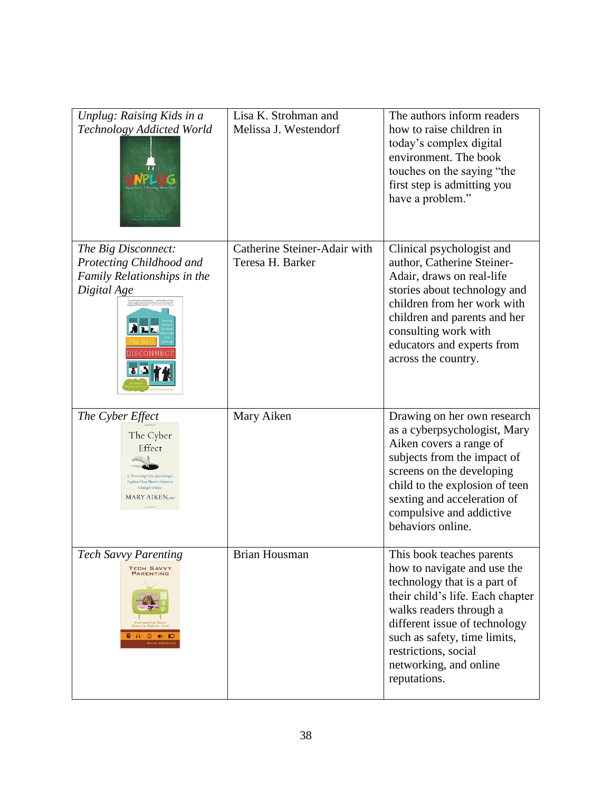| Unplug: Raising Kids in a<br>Technology Addicted World                                                                                               | Lisa K. Strohman and<br>Melissa J. Westendorf    | The authors inform readers<br>how to raise children in<br>today's complex digital<br>environment. The book<br>touches on the saying "the<br>first step is admitting you<br>have a problem."                                                                                                |
|------------------------------------------------------------------------------------------------------------------------------------------------------|--------------------------------------------------|--------------------------------------------------------------------------------------------------------------------------------------------------------------------------------------------------------------------------------------------------------------------------------------------|
| The Big Disconnect:<br>Protecting Childhood and<br>Family Relationships in the<br>Digital Age<br>$\mathbf{L}$<br>DISCONNEC                           | Catherine Steiner-Adair with<br>Teresa H. Barker | Clinical psychologist and<br>author, Catherine Steiner-<br>Adair, draws on real-life<br>stories about technology and<br>children from her work with<br>children and parents and her<br>consulting work with<br>educators and experts from<br>across the country.                           |
| The Cyber Effect<br>The Cyber<br>Effect<br>A Pioneering Cyberpsychologist<br>Explains How Human Behavior<br>Changes Online<br><b>MARY AIKEN, PhD</b> | Mary Aiken                                       | Drawing on her own research<br>as a cyberpsychologist, Mary<br>Aiken covers a range of<br>subjects from the impact of<br>screens on the developing<br>child to the explosion of teen<br>sexting and acceleration of<br>compulsive and addictive<br>behaviors online.                       |
| <b>Tech Savvy Parenting</b><br><b>TECH SAVVY</b><br><b>PARENTING</b><br>HILD'S DIGITAL LIFE<br><b>A Q 40 10</b><br><b>BRIAN HOUSMAN</b>              | <b>Brian Housman</b>                             | This book teaches parents<br>how to navigate and use the<br>technology that is a part of<br>their child's life. Each chapter<br>walks readers through a<br>different issue of technology<br>such as safety, time limits,<br>restrictions, social<br>networking, and online<br>reputations. |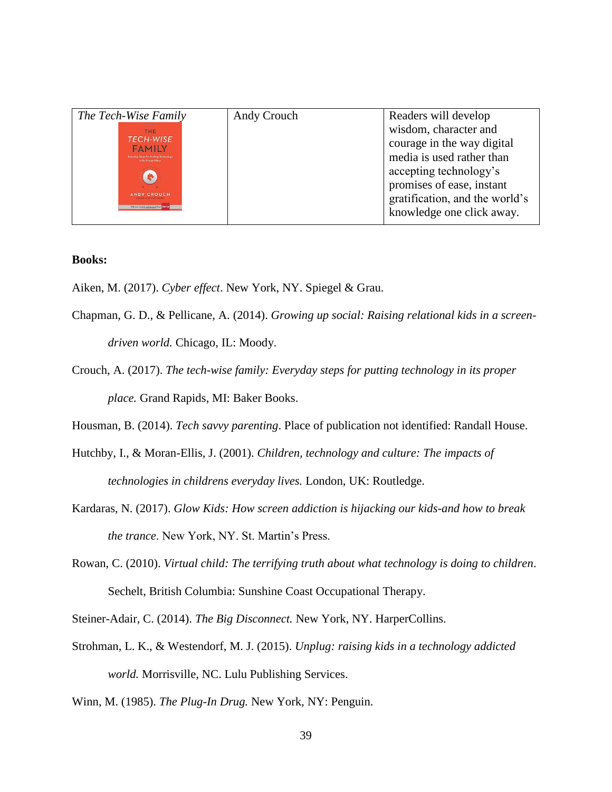| The Tech-Wise Family                                                                                                                                                                                                              | Andy Crouch | Readers will develop                                                                                                                                                                                   |
|-----------------------------------------------------------------------------------------------------------------------------------------------------------------------------------------------------------------------------------|-------------|--------------------------------------------------------------------------------------------------------------------------------------------------------------------------------------------------------|
| <b>THE</b><br><b>TECH-WISE</b><br><b>FAMILY</b><br><b>Everyday Steps for Putting Technology</b><br>in its Proper Place<br><b>A</b><br><b>ANDY CROUCH,</b><br>THOR OF CULTURE MAKING<br>With new insights and research from Elamas |             | wisdom, character and<br>courage in the way digital<br>media is used rather than<br>accepting technology's<br>promises of ease, instant<br>gratification, and the world's<br>knowledge one click away. |

## **Books:**

- Aiken, M. (2017). *Cyber effect*. New York, NY. Spiegel & Grau.
- Chapman, G. D., & Pellicane, A. (2014). *Growing up social: Raising relational kids in a screendriven world.* Chicago, IL: Moody.
- Crouch, A. (2017). *The tech-wise family: Everyday steps for putting technology in its proper place.* Grand Rapids, MI: Baker Books.
- Housman, B. (2014). *Tech savvy parenting*. Place of publication not identified: Randall House.
- Hutchby, I., & Moran-Ellis, J. (2001). *Children, technology and culture: The impacts of technologies in childrens everyday lives.* London, UK: Routledge.
- Kardaras, N. (2017). *Glow Kids: How screen addiction is hijacking our kids-and how to break the trance*. New York, NY. St. Martin's Press.
- Rowan, C. (2010). *Virtual child: The terrifying truth about what technology is doing to children*. Sechelt, British Columbia: Sunshine Coast Occupational Therapy.

Steiner-Adair, C. (2014). *The Big Disconnect.* New York, NY. HarperCollins.

- Strohman, L. K., & Westendorf, M. J. (2015). *Unplug: raising kids in a technology addicted world.* Morrisville, NC. Lulu Publishing Services.
- <span id="page-46-0"></span>Winn, M. (1985). *The Plug-In Drug.* New York, NY: Penguin.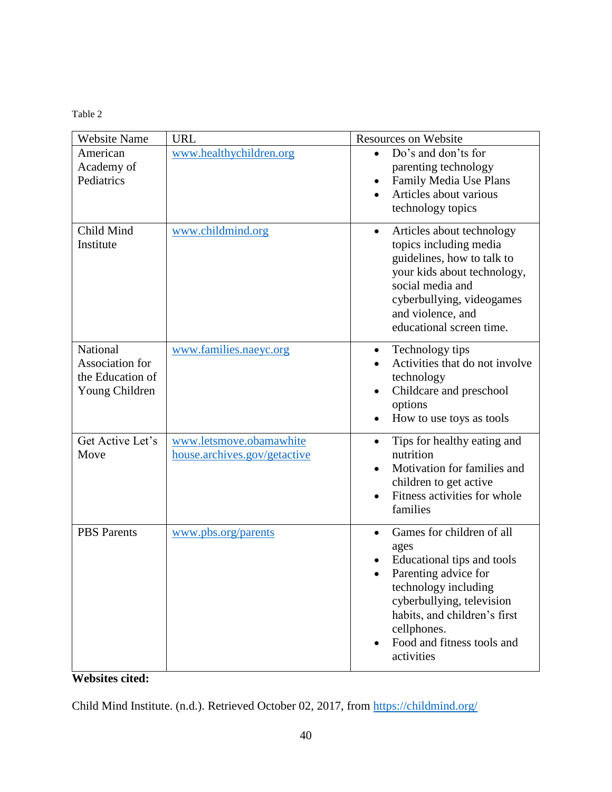Table 2

| <b>Website Name</b>                                               | <b>URL</b>                                              | <b>Resources on Website</b>                                                                                                                                                                                                                          |
|-------------------------------------------------------------------|---------------------------------------------------------|------------------------------------------------------------------------------------------------------------------------------------------------------------------------------------------------------------------------------------------------------|
| American<br>Academy of<br>Pediatrics                              | www.healthychildren.org                                 | Do's and don'ts for<br>parenting technology<br>Family Media Use Plans<br>Articles about various<br>technology topics                                                                                                                                 |
| Child Mind<br>Institute                                           | www.childmind.org                                       | Articles about technology<br>$\bullet$<br>topics including media<br>guidelines, how to talk to<br>your kids about technology,<br>social media and<br>cyberbullying, videogames<br>and violence, and<br>educational screen time.                      |
| National<br>Association for<br>the Education of<br>Young Children | www.families.naeyc.org                                  | Technology tips<br>٠<br>Activities that do not involve<br>technology<br>Childcare and preschool<br>options<br>How to use toys as tools<br>$\bullet$                                                                                                  |
| Get Active Let's<br>Move                                          | www.letsmove.obamawhite<br>house.archives.gov/getactive | Tips for healthy eating and<br>$\bullet$<br>nutrition<br>Motivation for families and<br>children to get active<br>Fitness activities for whole<br>$\bullet$<br>families                                                                              |
| <b>PBS</b> Parents                                                | www.pbs.org/parents                                     | Games for children of all<br>$\bullet$<br>ages<br>Educational tips and tools<br>Parenting advice for<br>technology including<br>cyberbullying, television<br>habits, and children's first<br>cellphones.<br>Food and fitness tools and<br>activities |

**Websites cited:**

Child Mind Institute. (n.d.). Retrieved October 02, 2017, from<https://childmind.org/>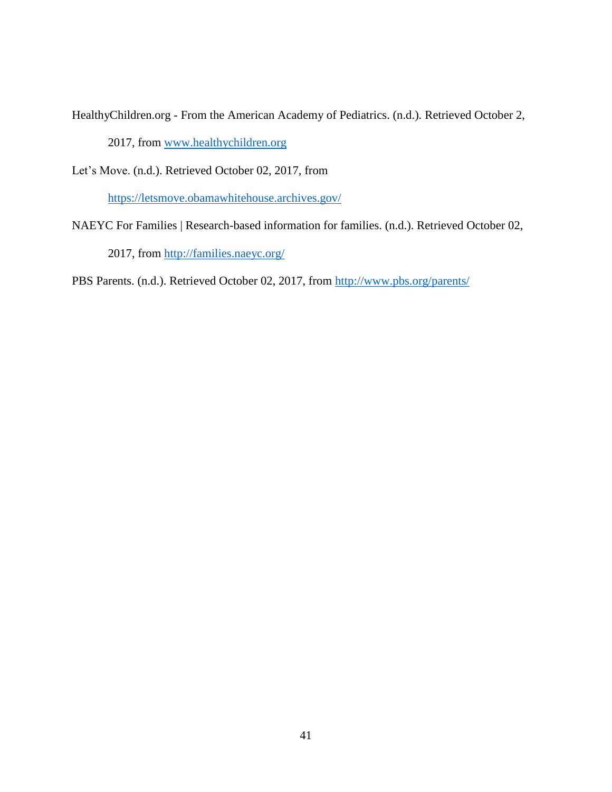HealthyChildren.org - From the American Academy of Pediatrics. (n.d.). Retrieved October 2,

2017, from [www.healthychildren.org](http://www.healthychildren.org/)

Let's Move. (n.d.). Retrieved October 02, 2017, from

<https://letsmove.obamawhitehouse.archives.gov/>

NAEYC For Families | Research-based information for families. (n.d.). Retrieved October 02,

2017, from<http://families.naeyc.org/>

PBS Parents. (n.d.). Retrieved October 02, 2017, from<http://www.pbs.org/parents/>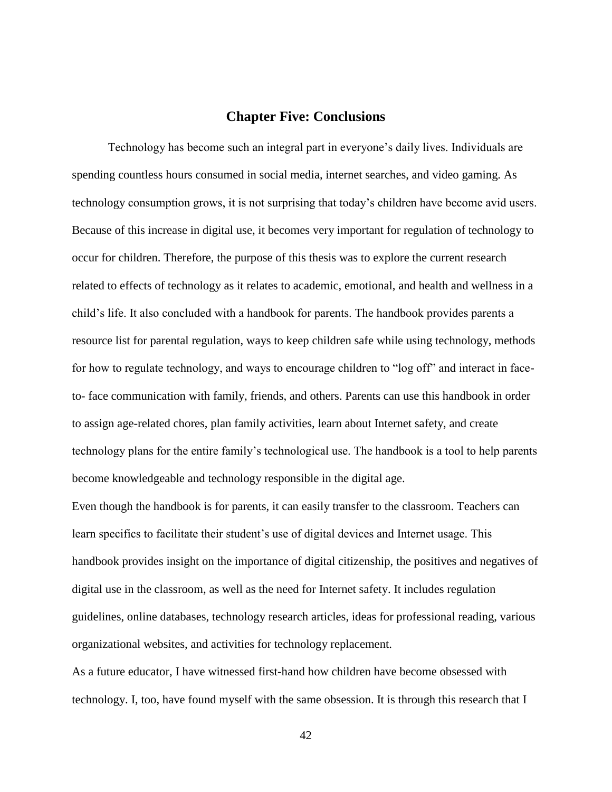## **Chapter Five: Conclusions**

<span id="page-49-0"></span>Technology has become such an integral part in everyone's daily lives. Individuals are spending countless hours consumed in social media, internet searches, and video gaming. As technology consumption grows, it is not surprising that today's children have become avid users. Because of this increase in digital use, it becomes very important for regulation of technology to occur for children. Therefore, the purpose of this thesis was to explore the current research related to effects of technology as it relates to academic, emotional, and health and wellness in a child's life. It also concluded with a handbook for parents. The handbook provides parents a resource list for parental regulation, ways to keep children safe while using technology, methods for how to regulate technology, and ways to encourage children to "log off" and interact in faceto- face communication with family, friends, and others. Parents can use this handbook in order to assign age-related chores, plan family activities, learn about Internet safety, and create technology plans for the entire family's technological use. The handbook is a tool to help parents become knowledgeable and technology responsible in the digital age.

Even though the handbook is for parents, it can easily transfer to the classroom. Teachers can learn specifics to facilitate their student's use of digital devices and Internet usage. This handbook provides insight on the importance of digital citizenship, the positives and negatives of digital use in the classroom, as well as the need for Internet safety. It includes regulation guidelines, online databases, technology research articles, ideas for professional reading, various organizational websites, and activities for technology replacement.

As a future educator, I have witnessed first-hand how children have become obsessed with technology. I, too, have found myself with the same obsession. It is through this research that I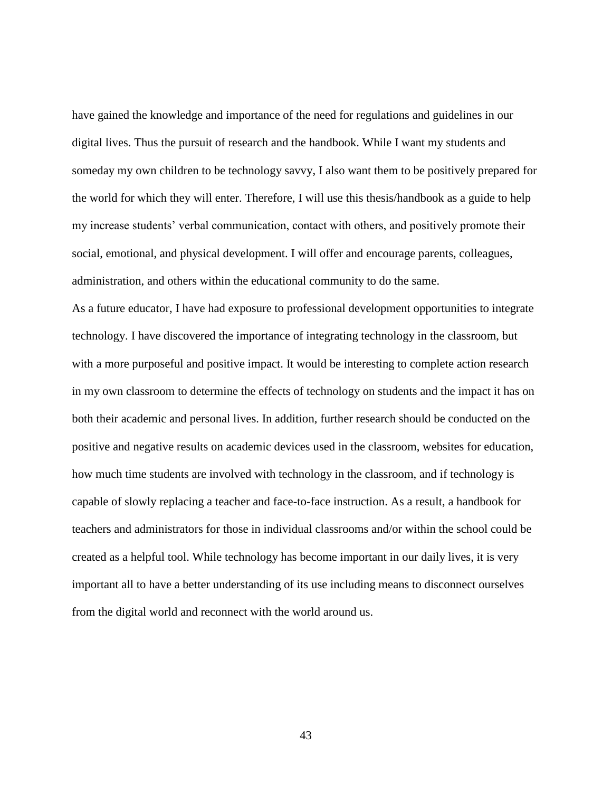have gained the knowledge and importance of the need for regulations and guidelines in our digital lives. Thus the pursuit of research and the handbook. While I want my students and someday my own children to be technology savvy, I also want them to be positively prepared for the world for which they will enter. Therefore, I will use this thesis/handbook as a guide to help my increase students' verbal communication, contact with others, and positively promote their social, emotional, and physical development. I will offer and encourage parents, colleagues, administration, and others within the educational community to do the same.

As a future educator, I have had exposure to professional development opportunities to integrate technology. I have discovered the importance of integrating technology in the classroom, but with a more purposeful and positive impact. It would be interesting to complete action research in my own classroom to determine the effects of technology on students and the impact it has on both their academic and personal lives. In addition, further research should be conducted on the positive and negative results on academic devices used in the classroom, websites for education, how much time students are involved with technology in the classroom, and if technology is capable of slowly replacing a teacher and face-to-face instruction. As a result, a handbook for teachers and administrators for those in individual classrooms and/or within the school could be created as a helpful tool. While technology has become important in our daily lives, it is very important all to have a better understanding of its use including means to disconnect ourselves from the digital world and reconnect with the world around us.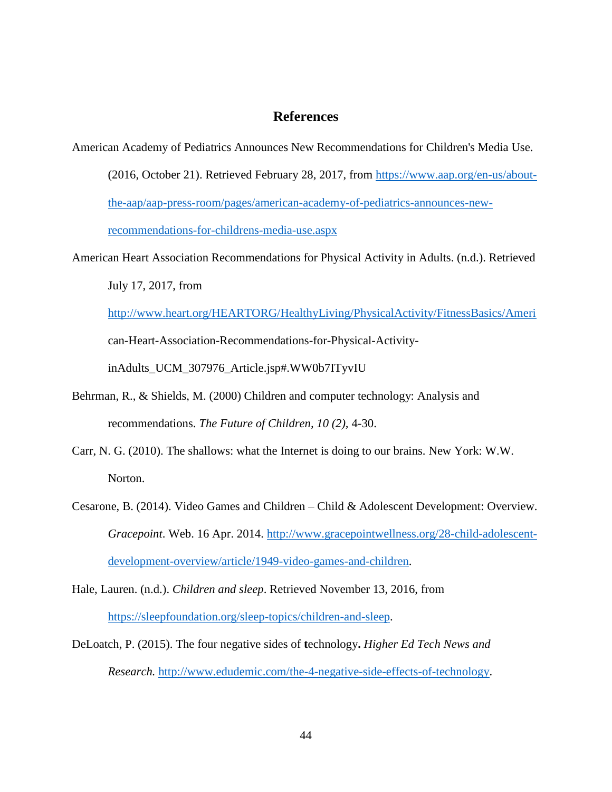## **References**

- <span id="page-51-0"></span>American Academy of Pediatrics Announces New Recommendations for Children's Media Use.
	- (2016, October 21). Retrieved February 28, 2017, from [https://www.aap.org/en-us/about](https://www.aap.org/en-us/about-the-aap/aap-press-room/pages/american-academy-of-pediatrics-announces-new-recommendations-for-childrens-media-use.aspx)[the-aap/aap-press-room/pages/american-academy-of-pediatrics-announces-new](https://www.aap.org/en-us/about-the-aap/aap-press-room/pages/american-academy-of-pediatrics-announces-new-recommendations-for-childrens-media-use.aspx)[recommendations-for-childrens-media-use.aspx](https://www.aap.org/en-us/about-the-aap/aap-press-room/pages/american-academy-of-pediatrics-announces-new-recommendations-for-childrens-media-use.aspx)
- American Heart Association Recommendations for Physical Activity in Adults. (n.d.). Retrieved July 17, 2017, from

<http://www.heart.org/HEARTORG/HealthyLiving/PhysicalActivity/FitnessBasics/Ameri> can-Heart-Association-Recommendations-for-Physical-Activity-

inAdults\_UCM\_307976\_Article.jsp#.WW0b7ITyvIU

- Behrman, R., & Shields, M. (2000) Children and computer technology: Analysis and recommendations. *The Future of Children, 10 (2),* 4-30.
- Carr, N. G. (2010). The shallows: what the Internet is doing to our brains. New York: W.W. Norton.
- Cesarone, B. (2014). Video Games and Children Child & Adolescent Development: Overview. *Gracepoint*. Web. 16 Apr. 2014. [http://www.gracepointwellness.org/28-child-adolescent](http://www.gracepointwellness.org/28-child-adolescent-development-overview/article/1949-video-games-and-children)[development-overview/article/1949-video-games-and-children.](http://www.gracepointwellness.org/28-child-adolescent-development-overview/article/1949-video-games-and-children)
- Hale, Lauren. (n.d.). *Children and sleep*. Retrieved November 13, 2016, from [https://sleepfoundation.org/sleep-topics/children-and-sleep.](https://sleepfoundation.org/sleep-topics/children-and-sleep)
- DeLoatch, P. (2015). The four negative sides of **t**echnology**.** *Higher Ed Tech News and Research.* [http://www.edudemic.com/the-4-negative-side-effects-of-technology.](http://www.edudemic.com/the-4-negative-side-effects-of-technology/)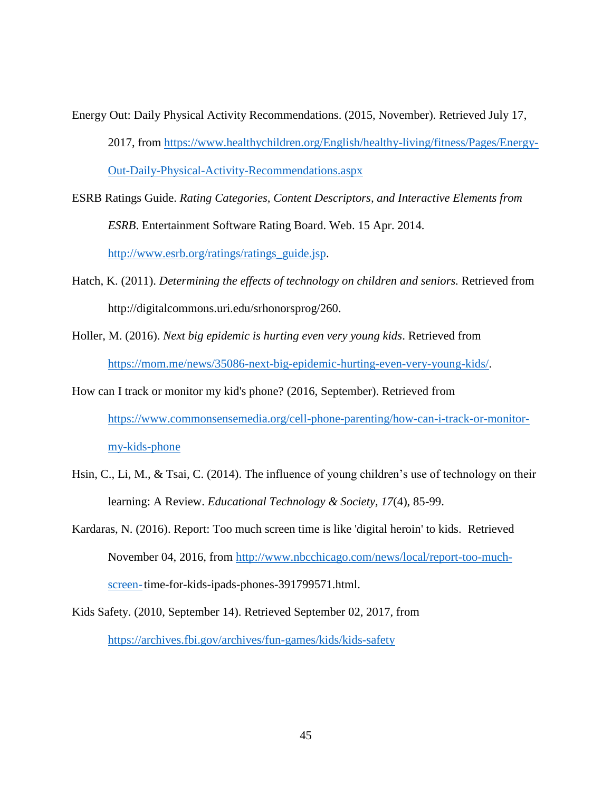- Energy Out: Daily Physical Activity Recommendations. (2015, November). Retrieved July 17, 2017, from [https://www.healthychildren.org/English/healthy-living/fitness/Pages/Energy-](https://www.healthychildren.org/English/healthy-living/fitness/Pages/Energy-Out-Daily-Physical-Activity-Recommendations.aspx)[Out-Daily-Physical-Activity-Recommendations.aspx](https://www.healthychildren.org/English/healthy-living/fitness/Pages/Energy-Out-Daily-Physical-Activity-Recommendations.aspx)
- ESRB Ratings Guide. *Rating Categories, Content Descriptors, and Interactive Elements from ESRB*. Entertainment Software Rating Board. Web. 15 Apr. 2014. [http://www.esrb.org/ratings/ratings\\_guide.jsp.](http://www.esrb.org/ratings/ratings_guide.jsp)
- Hatch, K. (2011). *Determining the effects of technology on children and seniors.* Retrieved from http://digitalcommons.uri.edu/srhonorsprog/260.
- Holler, M. (2016). *Next big epidemic is hurting even very young kids*. Retrieved from [https://mom.me/news/35086-next-big-epidemic-hurting-even-very-young-kids/.](https://mom.me/news/35086-next-big-epidemic-hurting-even-very-young-kids/)
- How can I track or monitor my kid's phone? (2016, September). Retrieved from [https://www.commonsensemedia.org/cell-phone-parenting/how-can-i-track-or-monitor](https://www.commonsensemedia.org/cell-phone-parenting/how-can-i-track-or-monitor-my-kids-phone)[my-kids-phone](https://www.commonsensemedia.org/cell-phone-parenting/how-can-i-track-or-monitor-my-kids-phone)
- Hsin, C., Li, M., & Tsai, C. (2014). The influence of young children's use of technology on their learning: A Review. *Educational Technology & Society, 17*(4), 85-99.
- Kardaras, N. (2016). Report: Too much screen time is like 'digital heroin' to kids. Retrieved November 04, 2016, from [http://www.nbcchicago.com/news/local/report-too-much](http://www.nbcchicago.com/news/local/report-too-much-screen-)[screen-t](http://www.nbcchicago.com/news/local/report-too-much-screen-)ime-for-kids-ipads-phones-391799571.html.
- Kids Safety. (2010, September 14). Retrieved September 02, 2017, from <https://archives.fbi.gov/archives/fun-games/kids/kids-safety>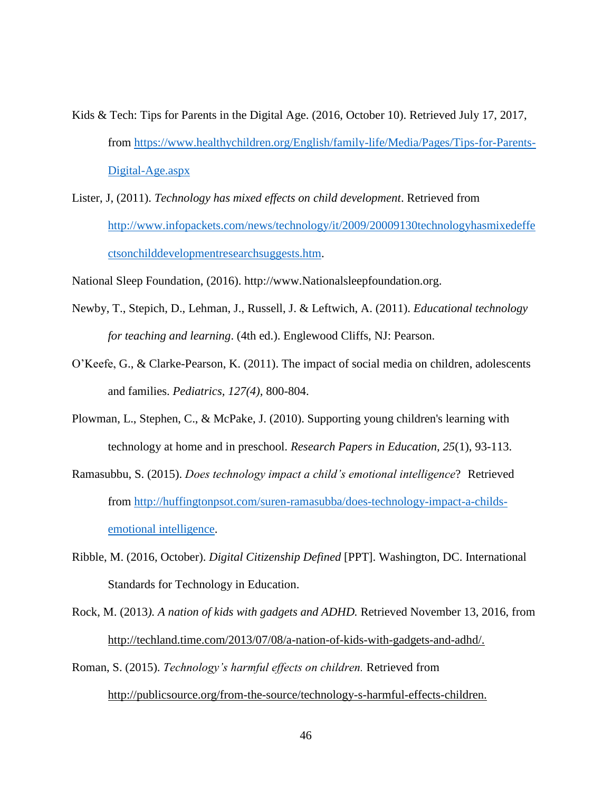- Kids & Tech: Tips for Parents in the Digital Age. (2016, October 10). Retrieved July 17, 2017, from [https://www.healthychildren.org/English/family-life/Media/Pages/Tips-for-Parents-](https://www.healthychildren.org/English/family-life/Media/Pages/Tips-for-Parents-Digital-Age.aspx)[Digital-Age.aspx](https://www.healthychildren.org/English/family-life/Media/Pages/Tips-for-Parents-Digital-Age.aspx)
- Lister, J, (2011). *Technology has mixed effects on child development*. Retrieved from [http://www.infopackets.com/news/technology/it/2009/20009130technologyhasmixedeffe](http://www.infopackets.com/news/technology/it/2009/20009130technologyhasmixedeffectsonchilddevelopmentresearchsuggests.htm) [ctsonchilddevelopmentresearchsuggests.htm.](http://www.infopackets.com/news/technology/it/2009/20009130technologyhasmixedeffectsonchilddevelopmentresearchsuggests.htm)

National Sleep Foundation, (2016). http://www.Nationalsleepfoundation.org.

- Newby, T., Stepich, D., Lehman, J., Russell, J. & Leftwich, A. (2011). *Educational technology for teaching and learning*. (4th ed.). Englewood Cliffs, NJ: Pearson.
- O'Keefe, G., & Clarke-Pearson, K. (2011). The impact of social media on children, adolescents and families. *Pediatrics, 127(4),* 800-804.
- Plowman, L., Stephen, C., & McPake, J. (2010). Supporting young children's learning with technology at home and in preschool. *Research Papers in Education, 25*(1), 93-113.
- Ramasubbu, S. (2015). *Does technology impact a child's emotional intelligence*? Retrieved from [http://huffingtonpsot.com/suren-ramasubba/does-technology-impact-a-childs](http://huffingtonpsot.com/suren-ramasubba/does-technology-impact-a-childs-emotional%20intelligence)[emotional intelligence.](http://huffingtonpsot.com/suren-ramasubba/does-technology-impact-a-childs-emotional%20intelligence)
- Ribble, M. (2016, October). *Digital Citizenship Defined* [PPT]. Washington, DC. International Standards for Technology in Education.
- Rock, M. (2013*). A nation of kids with gadgets and ADHD.* Retrieved November 13, 2016, from http://techland.time.com/2013/07/08/a-nation-of-kids-with-gadgets-and-adhd/.
- Roman, S. (2015). *Technology's harmful effects on children.* Retrieved from [http://publicsource.org/from-the-source/technology-s-harmful-effects-children.](http://publicsource.org/from-the-source/technology-s-harmful-effects-children)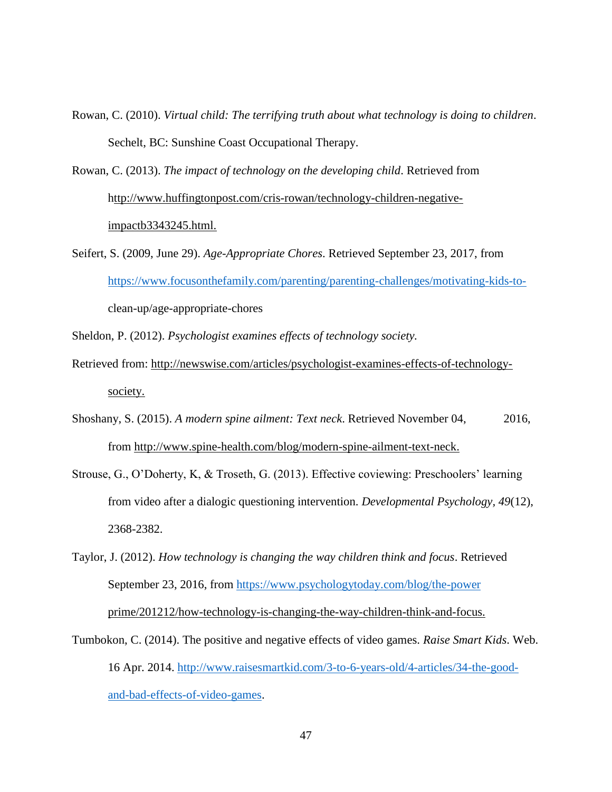Rowan, C. (2010). *Virtual child: The terrifying truth about what technology is doing to children*. Sechelt, BC: Sunshine Coast Occupational Therapy.

Rowan, C. (2013). *The impact of technology on the developing child*. Retrieved from [http://www.huffingtonpost.com/cris-rowan/technology-children-negative](ttp://www.huffingtonpost.com/cris-rowan/technology-children-negative-i)[im](ttp://www.huffingtonpost.com/cris-rowan/technology-children-negative-i)pactb3343245.html.

Seifert, S. (2009, June 29). *Age-Appropriate Chores*. Retrieved September 23, 2017, from [https://www.focusonthefamily.com/parenting/parenting-challenges/motivating-kids-to](https://www.focusonthefamily.com/parenting/parenting-challenges/motivating-kids-to-)clean-up/age-appropriate-chores

Sheldon, P. (2012). *Psychologist examines effects of technology society.*

- Retrieved from: http://newswise.com/articles/psychologist-examines-effects-of-technologysociety.
- Shoshany, S. (2015). *A modern spine ailment: Text neck*. Retrieved November 04, 2016, from [http://www.spine-health.com/blog/modern-spine-ailment-text-neck.](http://www.spine-health.com/blog/modern-spine-ailment-text-neck)
- Strouse, G., O'Doherty, K, & Troseth, G. (2013). Effective coviewing: Preschoolers' learning from video after a dialogic questioning intervention. *Developmental Psychology, 49*(12), 2368-2382.
- Taylor, J. (2012). *How technology is changing the way children think and focus*. Retrieved September 23, 2016, from<https://www.psychologytoday.com/blog/the-power> prime/201212/how-technology-is-changing-the-way-children-think-and-focus.
- Tumbokon, C. (2014). The positive and negative effects of video games. *Raise Smart Kids*. Web. 16 Apr. 2014. [http://www.raisesmartkid.com/3-to-6-years-old/4-articles/34-the-good](http://www.raisesmartkid.com/3-to-6-years-old/4-articles/34-the-good-and-bad-effects-of-video-games)[and-bad-effects-of-video-games.](http://www.raisesmartkid.com/3-to-6-years-old/4-articles/34-the-good-and-bad-effects-of-video-games)